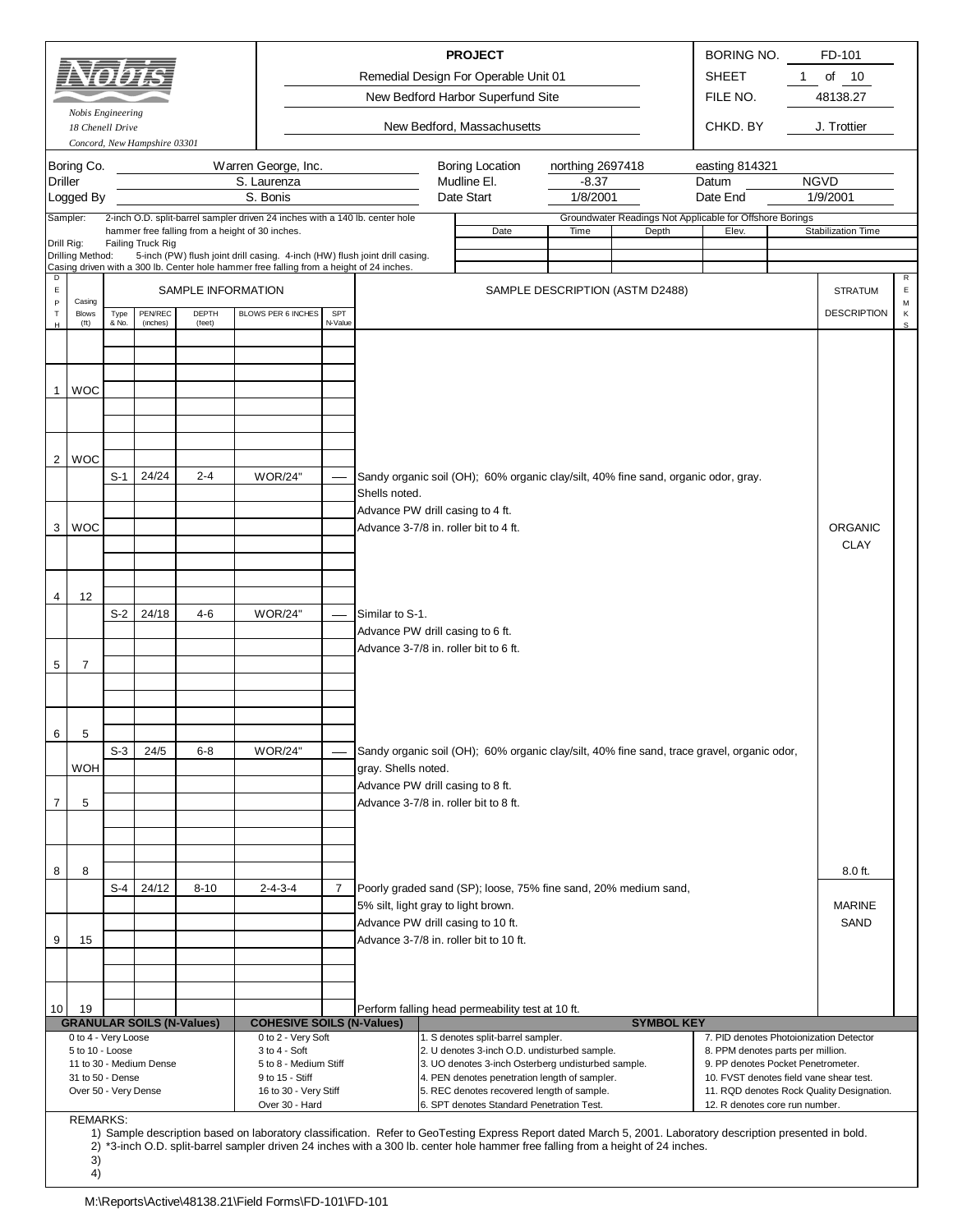|                  |                                        |               |                              |                                  |                                                                                                                                                             |                |                                        | <b>PROJECT</b>                                                                                      |                                 |       |                   | BORING NO.                                                        | FD-101                                                                        |              |
|------------------|----------------------------------------|---------------|------------------------------|----------------------------------|-------------------------------------------------------------------------------------------------------------------------------------------------------------|----------------|----------------------------------------|-----------------------------------------------------------------------------------------------------|---------------------------------|-------|-------------------|-------------------------------------------------------------------|-------------------------------------------------------------------------------|--------------|
|                  |                                        |               |                              |                                  |                                                                                                                                                             |                |                                        | Remedial Design For Operable Unit 01                                                                |                                 |       |                   | <b>SHEET</b>                                                      | of<br>10<br>1                                                                 |              |
|                  |                                        |               |                              |                                  |                                                                                                                                                             |                |                                        | New Bedford Harbor Superfund Site                                                                   |                                 |       |                   | FILE NO.                                                          | 48138.27                                                                      |              |
|                  | Nobis Engineering<br>18 Chenell Drive  |               | Concord, New Hampshire 03301 |                                  |                                                                                                                                                             |                |                                        | New Bedford, Massachusetts                                                                          |                                 |       |                   | CHKD. BY                                                          | J. Trottier                                                                   |              |
|                  | Boring Co.                             |               |                              |                                  | Warren George, Inc.                                                                                                                                         |                |                                        | <b>Boring Location</b>                                                                              | northing 2697418                |       |                   | easting 814321                                                    |                                                                               |              |
| <b>Driller</b>   |                                        |               |                              |                                  | S. Laurenza                                                                                                                                                 |                |                                        | Mudline El.                                                                                         | $-8.37$                         |       |                   | Datum                                                             | <b>NGVD</b>                                                                   |              |
|                  | Logged By                              |               |                              |                                  | S. Bonis                                                                                                                                                    |                |                                        | Date Start                                                                                          | 1/8/2001                        |       |                   | Date End                                                          | 1/9/2001                                                                      |              |
| Sampler:         |                                        |               |                              |                                  | 2-inch O.D. split-barrel sampler driven 24 inches with a 140 lb. center hole<br>hammer free falling from a height of 30 inches.                             |                |                                        | Date                                                                                                | Time                            | Depth |                   | Groundwater Readings Not Applicable for Offshore Borings<br>Elev. | Stabilization Time                                                            |              |
| Drill Rig:       | Drilling Method:                       |               | Failing Truck Rig            |                                  | 5-inch (PW) flush joint drill casing. 4-inch (HW) flush joint drill casing.                                                                                 |                |                                        |                                                                                                     |                                 |       |                   |                                                                   |                                                                               |              |
| D                |                                        |               |                              |                                  | Casing driven with a 300 lb. Center hole hammer free falling from a height of 24 inches.                                                                    |                |                                        |                                                                                                     |                                 |       |                   |                                                                   |                                                                               | $\mathsf{R}$ |
| $\mathsf E$<br>P | Casing                                 |               |                              | SAMPLE INFORMATION               |                                                                                                                                                             |                |                                        |                                                                                                     | SAMPLE DESCRIPTION (ASTM D2488) |       |                   |                                                                   | <b>STRATUM</b>                                                                | E            |
| $\mathsf T$      | <b>Blows</b>                           | Type<br>& No. | PEN/REC<br>(inches)          | DEPTH                            | BLOWS PER 6 INCHES                                                                                                                                          | SPT<br>N-Value |                                        |                                                                                                     |                                 |       |                   |                                                                   | <b>DESCRIPTION</b>                                                            | М<br>К       |
| H                | (f <sup>t</sup> )                      |               |                              | (feet)                           |                                                                                                                                                             |                |                                        |                                                                                                     |                                 |       |                   |                                                                   |                                                                               | s            |
|                  |                                        |               |                              |                                  |                                                                                                                                                             |                |                                        |                                                                                                     |                                 |       |                   |                                                                   |                                                                               |              |
|                  |                                        |               |                              |                                  |                                                                                                                                                             |                |                                        |                                                                                                     |                                 |       |                   |                                                                   |                                                                               |              |
| 1                | <b>WOC</b>                             |               |                              |                                  |                                                                                                                                                             |                |                                        |                                                                                                     |                                 |       |                   |                                                                   |                                                                               |              |
|                  |                                        |               |                              |                                  |                                                                                                                                                             |                |                                        |                                                                                                     |                                 |       |                   |                                                                   |                                                                               |              |
|                  |                                        |               |                              |                                  |                                                                                                                                                             |                |                                        |                                                                                                     |                                 |       |                   |                                                                   |                                                                               |              |
| 2                | <b>WOC</b>                             |               |                              |                                  |                                                                                                                                                             |                |                                        |                                                                                                     |                                 |       |                   |                                                                   |                                                                               |              |
|                  |                                        | $S-1$         | 24/24                        | $2 - 4$                          | <b>WOR/24"</b>                                                                                                                                              |                | Shells noted.                          | Sandy organic soil (OH); 60% organic clay/silt, 40% fine sand, organic odor, gray.                  |                                 |       |                   |                                                                   |                                                                               |              |
|                  |                                        |               |                              |                                  |                                                                                                                                                             |                | Advance PW drill casing to 4 ft.       |                                                                                                     |                                 |       |                   |                                                                   |                                                                               |              |
| 3                | <b>WOC</b>                             |               |                              |                                  |                                                                                                                                                             |                | Advance 3-7/8 in. roller bit to 4 ft.  |                                                                                                     |                                 |       |                   |                                                                   | <b>ORGANIC</b>                                                                |              |
|                  |                                        |               |                              |                                  |                                                                                                                                                             |                |                                        |                                                                                                     |                                 |       |                   |                                                                   | <b>CLAY</b>                                                                   |              |
|                  |                                        |               |                              |                                  |                                                                                                                                                             |                |                                        |                                                                                                     |                                 |       |                   |                                                                   |                                                                               |              |
| 4                | 12                                     |               |                              |                                  |                                                                                                                                                             |                |                                        |                                                                                                     |                                 |       |                   |                                                                   |                                                                               |              |
|                  |                                        | S-2           | 24/18                        | $4 - 6$                          | <b>WOR/24"</b>                                                                                                                                              |                | Similar to S-1.                        |                                                                                                     |                                 |       |                   |                                                                   |                                                                               |              |
|                  |                                        |               |                              |                                  |                                                                                                                                                             |                | Advance PW drill casing to 6 ft.       |                                                                                                     |                                 |       |                   |                                                                   |                                                                               |              |
| 5                | $\overline{7}$                         |               |                              |                                  |                                                                                                                                                             |                | Advance 3-7/8 in. roller bit to 6 ft.  |                                                                                                     |                                 |       |                   |                                                                   |                                                                               |              |
|                  |                                        |               |                              |                                  |                                                                                                                                                             |                |                                        |                                                                                                     |                                 |       |                   |                                                                   |                                                                               |              |
|                  |                                        |               |                              |                                  |                                                                                                                                                             |                |                                        |                                                                                                     |                                 |       |                   |                                                                   |                                                                               |              |
|                  |                                        |               |                              |                                  |                                                                                                                                                             |                |                                        |                                                                                                     |                                 |       |                   |                                                                   |                                                                               |              |
| 6                | 5                                      | S-3           | 24/5                         | $6 - 8$                          | <b>WOR/24"</b>                                                                                                                                              |                |                                        | Sandy organic soil (OH); 60% organic clay/silt, 40% fine sand, trace gravel, organic odor,          |                                 |       |                   |                                                                   |                                                                               |              |
|                  | <b>WOH</b>                             |               |                              |                                  |                                                                                                                                                             |                | gray. Shells noted.                    |                                                                                                     |                                 |       |                   |                                                                   |                                                                               |              |
|                  |                                        |               |                              |                                  |                                                                                                                                                             |                | Advance PW drill casing to 8 ft.       |                                                                                                     |                                 |       |                   |                                                                   |                                                                               |              |
| $\overline{7}$   | 5                                      |               |                              |                                  |                                                                                                                                                             |                | Advance 3-7/8 in. roller bit to 8 ft.  |                                                                                                     |                                 |       |                   |                                                                   |                                                                               |              |
|                  |                                        |               |                              |                                  |                                                                                                                                                             |                |                                        |                                                                                                     |                                 |       |                   |                                                                   |                                                                               |              |
|                  |                                        |               |                              |                                  |                                                                                                                                                             |                |                                        |                                                                                                     |                                 |       |                   |                                                                   |                                                                               |              |
| 8                | 8                                      |               |                              |                                  |                                                                                                                                                             |                |                                        |                                                                                                     |                                 |       |                   |                                                                   | $8.0$ ft.                                                                     |              |
|                  |                                        | S-4           | 24/12                        | $8 - 10$                         | $2 - 4 - 3 - 4$                                                                                                                                             | $\overline{7}$ | 5% silt, light gray to light brown.    | Poorly graded sand (SP); loose, 75% fine sand, 20% medium sand,                                     |                                 |       |                   |                                                                   | <b>MARINE</b>                                                                 |              |
|                  |                                        |               |                              |                                  |                                                                                                                                                             |                | Advance PW drill casing to 10 ft.      |                                                                                                     |                                 |       |                   |                                                                   | SAND                                                                          |              |
| 9                | 15                                     |               |                              |                                  |                                                                                                                                                             |                | Advance 3-7/8 in. roller bit to 10 ft. |                                                                                                     |                                 |       |                   |                                                                   |                                                                               |              |
|                  |                                        |               |                              |                                  |                                                                                                                                                             |                |                                        |                                                                                                     |                                 |       |                   |                                                                   |                                                                               |              |
|                  |                                        |               |                              |                                  |                                                                                                                                                             |                |                                        |                                                                                                     |                                 |       |                   |                                                                   |                                                                               |              |
| 10               | 19                                     |               |                              |                                  |                                                                                                                                                             |                |                                        | Perform falling head permeability test at 10 ft.                                                    |                                 |       |                   |                                                                   |                                                                               |              |
|                  |                                        |               |                              | <b>GRANULAR SOILS (N-Values)</b> | <b>COHESIVE SOILS (N-Values)</b>                                                                                                                            |                |                                        |                                                                                                     |                                 |       | <b>SYMBOL KEY</b> |                                                                   |                                                                               |              |
|                  | 0 to 4 - Very Loose<br>5 to 10 - Loose |               |                              |                                  | 0 to 2 - Very Soft<br>3 to 4 - Soft                                                                                                                         |                |                                        | 1. S denotes split-barrel sampler.<br>2. U denotes 3-inch O.D. undisturbed sample.                  |                                 |       |                   | 8. PPM denotes parts per million.                                 | 7. PID denotes Photoionization Detector                                       |              |
|                  | 31 to 50 - Dense                       |               | 11 to 30 - Medium Dense      |                                  | 5 to 8 - Medium Stiff<br>9 to 15 - Stiff                                                                                                                    |                |                                        | 3. UO denotes 3-inch Osterberg undisturbed sample.<br>4. PEN denotes penetration length of sampler. |                                 |       |                   |                                                                   | 9. PP denotes Pocket Penetrometer.<br>10. FVST denotes field vane shear test. |              |
|                  | Over 50 - Very Dense                   |               |                              |                                  | 16 to 30 - Very Stiff                                                                                                                                       |                |                                        | 5. REC denotes recovered length of sample.                                                          |                                 |       |                   |                                                                   | 11. RQD denotes Rock Quality Designation.                                     |              |
|                  | <b>REMARKS:</b>                        |               |                              |                                  | Over 30 - Hard                                                                                                                                              |                |                                        | 6. SPT denotes Standard Penetration Test.                                                           |                                 |       |                   | 12. R denotes core run number.                                    |                                                                               |              |
|                  |                                        |               |                              |                                  | 1) Sample description based on laboratory classification. Refer to GeoTesting Express Report dated March 5, 2001. Laboratory description presented in bold. |                |                                        |                                                                                                     |                                 |       |                   |                                                                   |                                                                               |              |
|                  | 3)                                     |               |                              |                                  | 2) *3-inch O.D. split-barrel sampler driven 24 inches with a 300 lb. center hole hammer free falling from a height of 24 inches.                            |                |                                        |                                                                                                     |                                 |       |                   |                                                                   |                                                                               |              |
|                  | 4)                                     |               |                              |                                  |                                                                                                                                                             |                |                                        |                                                                                                     |                                 |       |                   |                                                                   |                                                                               |              |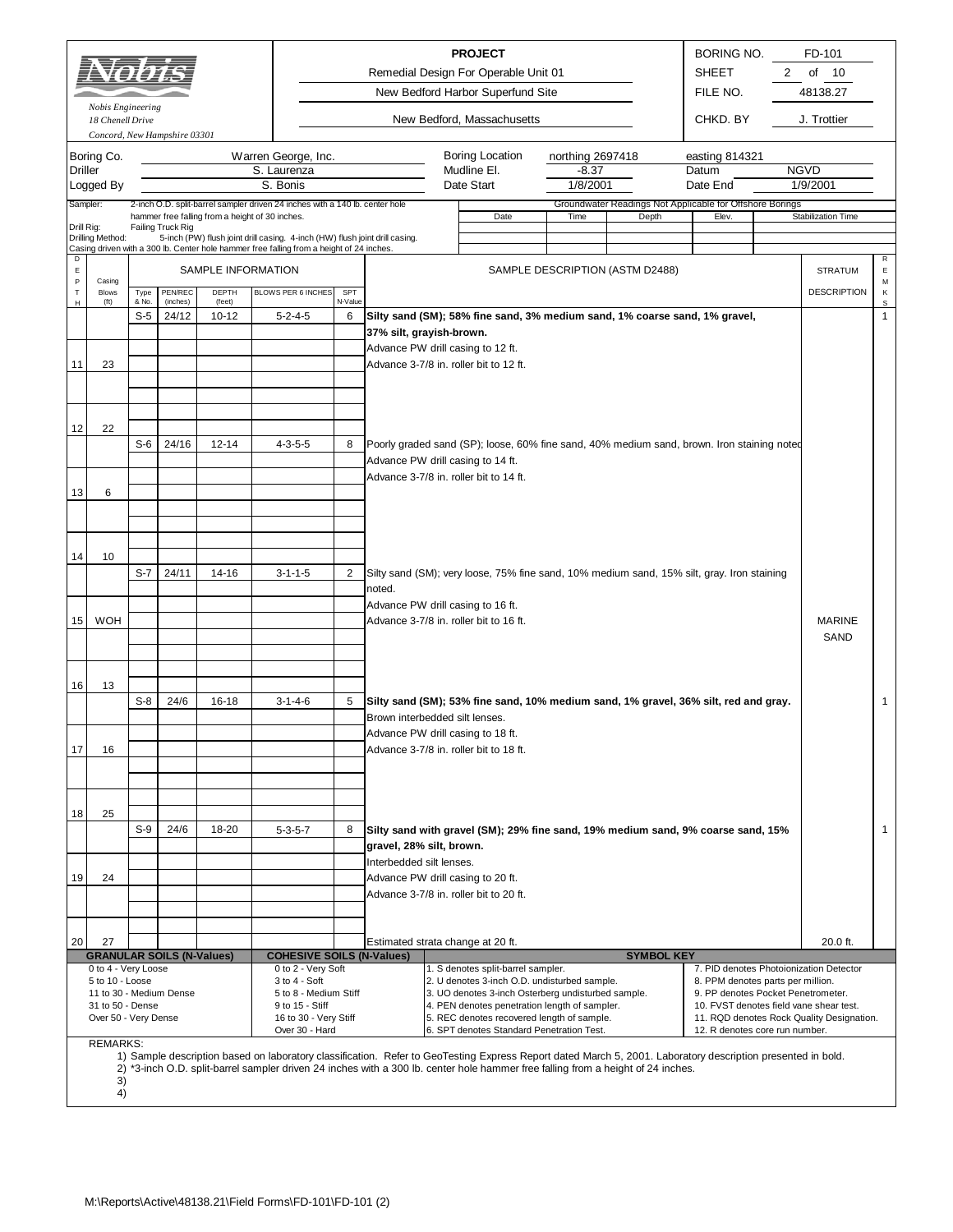|                | Nobis Engineering       |                |                                  |                                                 |                                                                                                                                                                         |              |                                | <b>PROJECT</b><br>Remedial Design For Operable Unit 01<br>New Bedford Harbor Superfund Site                                                                 |                                         |                                                          | <b>BORING NO.</b><br><b>SHEET</b><br>FILE NO.                           | 2 | FD-101<br>of<br>10<br>48138.27            |                   |
|----------------|-------------------------|----------------|----------------------------------|-------------------------------------------------|-------------------------------------------------------------------------------------------------------------------------------------------------------------------------|--------------|--------------------------------|-------------------------------------------------------------------------------------------------------------------------------------------------------------|-----------------------------------------|----------------------------------------------------------|-------------------------------------------------------------------------|---|-------------------------------------------|-------------------|
|                | 18 Chenell Drive        |                | Concord, New Hampshire 03301     |                                                 |                                                                                                                                                                         |              |                                | New Bedford, Massachusetts                                                                                                                                  |                                         |                                                          | CHKD. BY                                                                |   | J. Trottier                               |                   |
| <b>Driller</b> | Boring Co.<br>Logged By |                |                                  |                                                 | Warren George, Inc.<br>S. Laurenza<br>S. Bonis                                                                                                                          |              |                                | Boring Location<br>Mudline El.<br>Date Start                                                                                                                | northing 2697418<br>$-8.37$<br>1/8/2001 |                                                          | easting 814321<br>Datum<br>Date End                                     |   | <b>NGVD</b><br>1/9/2001                   |                   |
| Sampler:       |                         |                |                                  |                                                 | 2-inch O.D. split-barrel sampler driven 24 inches with a 140 lb. center hole                                                                                            |              |                                |                                                                                                                                                             |                                         | Groundwater Readings Not Applicable for Offshore Borings |                                                                         |   |                                           |                   |
| Drill Rig:     |                         |                | Failing Truck Rig                | hammer free falling from a height of 30 inches. |                                                                                                                                                                         |              |                                | Date                                                                                                                                                        | Time                                    | Depth                                                    | Elev.                                                                   |   | <b>Stabilization Time</b>                 |                   |
|                | Drilling Method:        |                |                                  |                                                 | 5-inch (PW) flush joint drill casing. 4-inch (HW) flush joint drill casing.<br>Casing driven with a 300 lb. Center hole hammer free falling from a height of 24 inches. |              |                                |                                                                                                                                                             |                                         |                                                          |                                                                         |   |                                           |                   |
| D<br>E         |                         |                |                                  | SAMPLE INFORMATION                              |                                                                                                                                                                         |              |                                |                                                                                                                                                             |                                         | SAMPLE DESCRIPTION (ASTM D2488)                          |                                                                         |   | <b>STRATUM</b>                            | R<br>E            |
| P<br>T.        | Casing<br><b>Blows</b>  | Type           | <b>PEN/REC</b>                   | DEPTH                                           | BLOWS PER 6 INCHES                                                                                                                                                      | SPT          |                                |                                                                                                                                                             |                                         |                                                          |                                                                         |   | <b>DESCRIPTION</b>                        | М<br>Κ            |
| н              | (t <sub>t</sub> )       | & No.<br>$S-5$ | (inches)<br>24/12                | (feet)<br>$10 - 12$                             | $5 - 2 - 4 - 5$                                                                                                                                                         | N-Value<br>6 |                                | Silty sand (SM); 58% fine sand, 3% medium sand, 1% coarse sand, 1% gravel,                                                                                  |                                         |                                                          |                                                                         |   |                                           | s<br>$\mathbf{1}$ |
|                |                         |                |                                  |                                                 |                                                                                                                                                                         |              | 37% silt, grayish-brown.       |                                                                                                                                                             |                                         |                                                          |                                                                         |   |                                           |                   |
|                |                         |                |                                  |                                                 |                                                                                                                                                                         |              |                                | Advance PW drill casing to 12 ft.                                                                                                                           |                                         |                                                          |                                                                         |   |                                           |                   |
| 11             | 23                      |                |                                  |                                                 |                                                                                                                                                                         |              |                                | Advance 3-7/8 in. roller bit to 12 ft.                                                                                                                      |                                         |                                                          |                                                                         |   |                                           |                   |
|                |                         |                |                                  |                                                 |                                                                                                                                                                         |              |                                |                                                                                                                                                             |                                         |                                                          |                                                                         |   |                                           |                   |
|                |                         |                |                                  |                                                 |                                                                                                                                                                         |              |                                |                                                                                                                                                             |                                         |                                                          |                                                                         |   |                                           |                   |
| 12             | 22                      | $S-6$          | 24/16                            | $12 - 14$                                       | $4 - 3 - 5 - 5$                                                                                                                                                         | 8            |                                | Poorly graded sand (SP); loose, 60% fine sand, 40% medium sand, brown. Iron staining noted                                                                  |                                         |                                                          |                                                                         |   |                                           |                   |
|                |                         |                |                                  |                                                 |                                                                                                                                                                         |              |                                | Advance PW drill casing to 14 ft.                                                                                                                           |                                         |                                                          |                                                                         |   |                                           |                   |
|                |                         |                |                                  |                                                 |                                                                                                                                                                         |              |                                | Advance 3-7/8 in. roller bit to 14 ft.                                                                                                                      |                                         |                                                          |                                                                         |   |                                           |                   |
| 13             | 6                       |                |                                  |                                                 |                                                                                                                                                                         |              |                                |                                                                                                                                                             |                                         |                                                          |                                                                         |   |                                           |                   |
|                |                         |                |                                  |                                                 |                                                                                                                                                                         |              |                                |                                                                                                                                                             |                                         |                                                          |                                                                         |   |                                           |                   |
|                |                         |                |                                  |                                                 |                                                                                                                                                                         |              |                                |                                                                                                                                                             |                                         |                                                          |                                                                         |   |                                           |                   |
| 14             | 10                      |                |                                  |                                                 |                                                                                                                                                                         |              |                                |                                                                                                                                                             |                                         |                                                          |                                                                         |   |                                           |                   |
|                |                         | $S-7$          | 24/11                            | 14-16                                           | $3 - 1 - 1 - 5$                                                                                                                                                         | 2            | noted.                         | Silty sand (SM); very loose, 75% fine sand, 10% medium sand, 15% silt, gray. Iron staining                                                                  |                                         |                                                          |                                                                         |   |                                           |                   |
|                |                         |                |                                  |                                                 |                                                                                                                                                                         |              |                                | Advance PW drill casing to 16 ft.                                                                                                                           |                                         |                                                          |                                                                         |   |                                           |                   |
| 15             | <b>WOH</b>              |                |                                  |                                                 |                                                                                                                                                                         |              |                                | Advance 3-7/8 in. roller bit to 16 ft.                                                                                                                      |                                         |                                                          |                                                                         |   | <b>MARINE</b>                             |                   |
|                |                         |                |                                  |                                                 |                                                                                                                                                                         |              |                                |                                                                                                                                                             |                                         |                                                          |                                                                         |   | <b>SAND</b>                               |                   |
|                |                         |                |                                  |                                                 |                                                                                                                                                                         |              |                                |                                                                                                                                                             |                                         |                                                          |                                                                         |   |                                           |                   |
| 16             | 13                      |                |                                  |                                                 |                                                                                                                                                                         |              |                                |                                                                                                                                                             |                                         |                                                          |                                                                         |   |                                           |                   |
|                |                         | $S-8$          | 24/6                             | 16-18                                           | $3 - 1 - 4 - 6$                                                                                                                                                         | 5            | Brown interbedded silt lenses. | Silty sand (SM); 53% fine sand, 10% medium sand, 1% gravel, 36% silt, red and gray.                                                                         |                                         |                                                          |                                                                         |   |                                           | $\mathbf{1}$      |
|                |                         |                |                                  |                                                 |                                                                                                                                                                         |              |                                | Advance PW drill casing to 18 ft.                                                                                                                           |                                         |                                                          |                                                                         |   |                                           |                   |
| 17             | 16                      |                |                                  |                                                 |                                                                                                                                                                         |              |                                | Advance 3-7/8 in. roller bit to 18 ft.                                                                                                                      |                                         |                                                          |                                                                         |   |                                           |                   |
|                |                         |                |                                  |                                                 |                                                                                                                                                                         |              |                                |                                                                                                                                                             |                                         |                                                          |                                                                         |   |                                           |                   |
|                |                         |                |                                  |                                                 |                                                                                                                                                                         |              |                                |                                                                                                                                                             |                                         |                                                          |                                                                         |   |                                           |                   |
| 18             | 25                      |                |                                  |                                                 |                                                                                                                                                                         |              |                                |                                                                                                                                                             |                                         |                                                          |                                                                         |   |                                           |                   |
|                |                         | $S-9$          | 24/6                             | 18-20                                           | $5 - 3 - 5 - 7$                                                                                                                                                         | 8            | gravel, 28% silt, brown.       | Silty sand with gravel (SM); 29% fine sand, 19% medium sand, 9% coarse sand, 15%                                                                            |                                         |                                                          |                                                                         |   |                                           | $\mathbf{1}$      |
|                |                         |                |                                  |                                                 |                                                                                                                                                                         |              | Interbedded silt lenses.       |                                                                                                                                                             |                                         |                                                          |                                                                         |   |                                           |                   |
| 19             | 24                      |                |                                  |                                                 |                                                                                                                                                                         |              |                                | Advance PW drill casing to 20 ft.                                                                                                                           |                                         |                                                          |                                                                         |   |                                           |                   |
|                |                         |                |                                  |                                                 |                                                                                                                                                                         |              |                                | Advance 3-7/8 in. roller bit to 20 ft.                                                                                                                      |                                         |                                                          |                                                                         |   |                                           |                   |
|                |                         |                |                                  |                                                 |                                                                                                                                                                         |              |                                |                                                                                                                                                             |                                         |                                                          |                                                                         |   |                                           |                   |
| 20             | 27                      |                |                                  |                                                 |                                                                                                                                                                         |              |                                | Estimated strata change at 20 ft.                                                                                                                           |                                         |                                                          |                                                                         |   | 20.0 ft.                                  |                   |
|                | 0 to 4 - Very Loose     |                | <b>GRANULAR SOILS (N-Values)</b> |                                                 | <b>COHESIVE SOILS (N-Values)</b><br>0 to 2 - Very Soft                                                                                                                  |              |                                | 1. S denotes split-barrel sampler.                                                                                                                          |                                         | <b>SYMBOL KEY</b>                                        |                                                                         |   | 7. PID denotes Photoionization Detector   |                   |
|                | 5 to 10 - Loose         |                | 11 to 30 - Medium Dense          |                                                 | 3 to 4 - Soft<br>5 to 8 - Medium Stiff                                                                                                                                  |              |                                | 2. U denotes 3-inch O.D. undisturbed sample.<br>3. UO denotes 3-inch Osterberg undisturbed sample.                                                          |                                         |                                                          | 8. PPM denotes parts per million.<br>9. PP denotes Pocket Penetrometer. |   |                                           |                   |
|                | 31 to 50 - Dense        |                |                                  |                                                 | 9 to 15 - Stiff                                                                                                                                                         |              |                                | 4. PEN denotes penetration length of sampler.                                                                                                               |                                         |                                                          |                                                                         |   | 10. FVST denotes field vane shear test.   |                   |
|                | Over 50 - Very Dense    |                |                                  |                                                 | 16 to 30 - Very Stiff<br>Over 30 - Hard                                                                                                                                 |              |                                | 5. REC denotes recovered length of sample.<br>6. SPT denotes Standard Penetration Test.                                                                     |                                         |                                                          | 12. R denotes core run number.                                          |   | 11. RQD denotes Rock Quality Designation. |                   |
|                | <b>REMARKS:</b>         |                |                                  |                                                 |                                                                                                                                                                         |              |                                | 1) Sample description based on laboratory classification. Refer to GeoTesting Express Report dated March 5, 2001. Laboratory description presented in bold. |                                         |                                                          |                                                                         |   |                                           |                   |
|                |                         |                |                                  |                                                 |                                                                                                                                                                         |              |                                | 2) *3-inch O.D. split-barrel sampler driven 24 inches with a 300 lb. center hole hammer free falling from a height of 24 inches.                            |                                         |                                                          |                                                                         |   |                                           |                   |
|                | 3)<br>4)                |                |                                  |                                                 |                                                                                                                                                                         |              |                                |                                                                                                                                                             |                                         |                                                          |                                                                         |   |                                           |                   |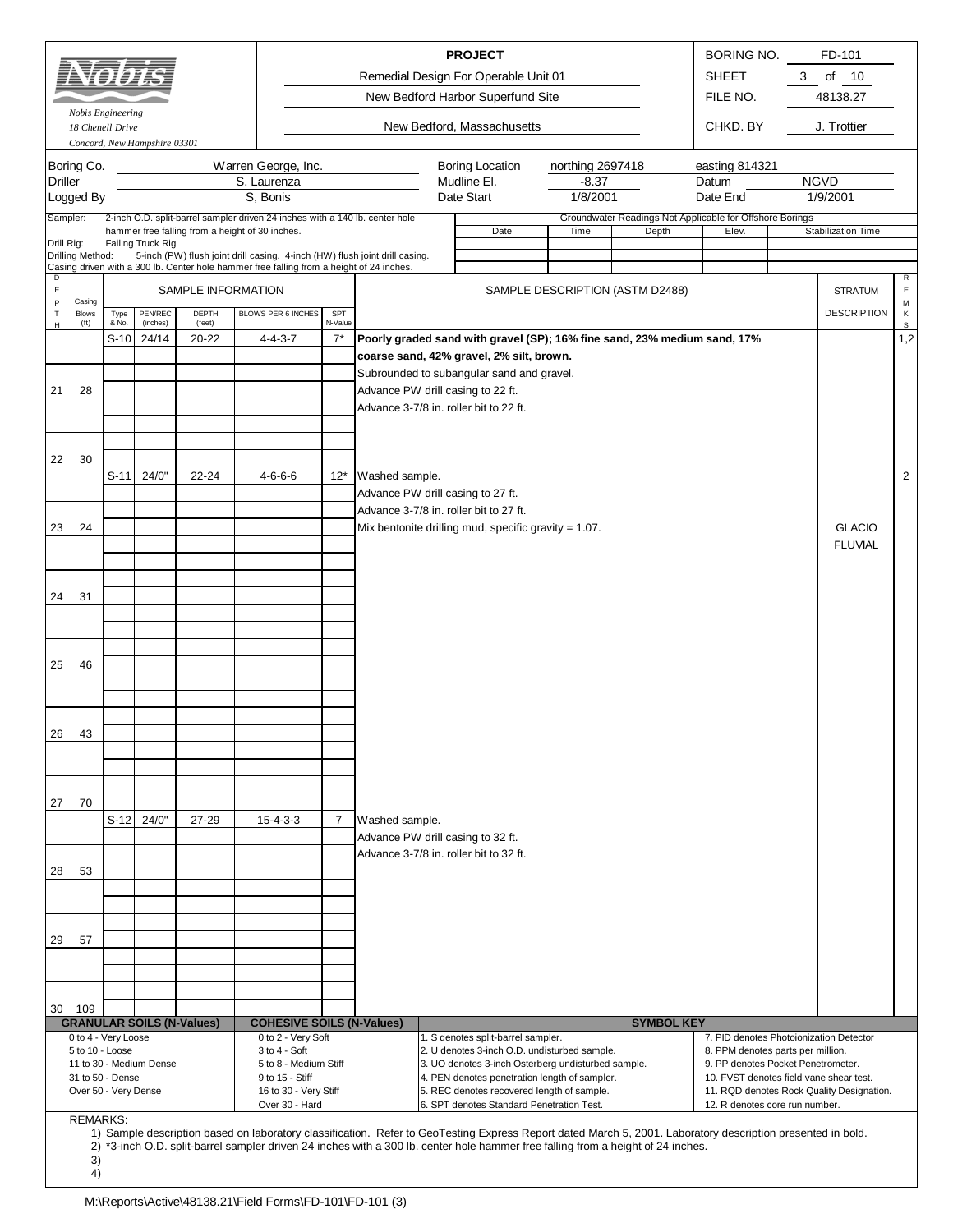|                                                               |                                       |               |                              |                                  |                                                                                                                                 |                |                                                                             | <b>PROJECT</b>                                                                                                                                                                                                                                                                                  |                                 |                   | BORING NO.                                                              |   | FD-101                                    |                  |
|---------------------------------------------------------------|---------------------------------------|---------------|------------------------------|----------------------------------|---------------------------------------------------------------------------------------------------------------------------------|----------------|-----------------------------------------------------------------------------|-------------------------------------------------------------------------------------------------------------------------------------------------------------------------------------------------------------------------------------------------------------------------------------------------|---------------------------------|-------------------|-------------------------------------------------------------------------|---|-------------------------------------------|------------------|
|                                                               |                                       |               |                              |                                  |                                                                                                                                 |                |                                                                             | Remedial Design For Operable Unit 01                                                                                                                                                                                                                                                            |                                 |                   | <b>SHEET</b>                                                            | 3 | of 10                                     |                  |
|                                                               |                                       |               |                              |                                  |                                                                                                                                 |                |                                                                             | New Bedford Harbor Superfund Site                                                                                                                                                                                                                                                               |                                 |                   | FILE NO.                                                                |   | 48138.27                                  |                  |
|                                                               | Nobis Engineering<br>18 Chenell Drive |               |                              |                                  |                                                                                                                                 |                |                                                                             | New Bedford, Massachusetts                                                                                                                                                                                                                                                                      |                                 |                   | CHKD. BY                                                                |   | J. Trottier                               |                  |
|                                                               |                                       |               | Concord, New Hampshire 03301 |                                  |                                                                                                                                 |                |                                                                             |                                                                                                                                                                                                                                                                                                 |                                 |                   |                                                                         |   |                                           |                  |
|                                                               | Boring Co.                            |               |                              |                                  | Warren George, Inc.                                                                                                             |                |                                                                             | <b>Boring Location</b>                                                                                                                                                                                                                                                                          | northing 2697418                |                   | easting 814321                                                          |   |                                           |                  |
| <b>Driller</b>                                                |                                       |               |                              |                                  | S. Laurenza                                                                                                                     |                |                                                                             | Mudline El.                                                                                                                                                                                                                                                                                     | $-8.37$                         |                   | Datum                                                                   |   | <b>NGVD</b>                               |                  |
|                                                               | Logged By                             |               |                              |                                  | S, Bonis                                                                                                                        |                |                                                                             | Date Start                                                                                                                                                                                                                                                                                      | 1/8/2001                        |                   | Date End                                                                |   | 1/9/2001                                  |                  |
|                                                               | Sampler:                              |               |                              |                                  | 2-inch O.D. split-barrel sampler driven 24 inches with a 140 lb. center hole<br>hammer free falling from a height of 30 inches. |                |                                                                             | Date                                                                                                                                                                                                                                                                                            | Time                            | Depth             | Groundwater Readings Not Applicable for Offshore Borings<br>Elev.       |   | Stabilization Time                        |                  |
| Drill Rig:                                                    | Drilling Method:                      |               | Failing Truck Rig            |                                  | 5-inch (PW) flush joint drill casing. 4-inch (HW) flush joint drill casing.                                                     |                |                                                                             |                                                                                                                                                                                                                                                                                                 |                                 |                   |                                                                         |   |                                           |                  |
| D                                                             |                                       |               |                              |                                  | Casing driven with a 300 lb. Center hole hammer free falling from a height of 24 inches.                                        |                |                                                                             |                                                                                                                                                                                                                                                                                                 |                                 |                   |                                                                         |   |                                           | R                |
| $\mathsf E$<br>$\mathsf{P}$                                   | Casing                                |               |                              | SAMPLE INFORMATION               |                                                                                                                                 |                |                                                                             |                                                                                                                                                                                                                                                                                                 | SAMPLE DESCRIPTION (ASTM D2488) |                   |                                                                         |   | <b>STRATUM</b>                            | $\mathsf E$<br>M |
| $\top$<br>$\mathsf{H}% _{\mathsf{H}}^{\ast}(\mathcal{M}_{0})$ | <b>Blows</b><br>$({\rm ft})$          | Type<br>& No. | PEN/REC<br>(inches)          | DEPTH<br>(feet)                  | BLOWS PER 6 INCHES                                                                                                              | SPT<br>N-Value |                                                                             |                                                                                                                                                                                                                                                                                                 |                                 |                   |                                                                         |   | <b>DESCRIPTION</b>                        | К<br>$\mathbb S$ |
|                                                               |                                       | S-10          | 24/14                        | 20-22                            | $4 - 4 - 3 - 7$                                                                                                                 | $7^*$          |                                                                             | Poorly graded sand with gravel (SP); 16% fine sand, 23% medium sand, 17%                                                                                                                                                                                                                        |                                 |                   |                                                                         |   |                                           | 1,2              |
|                                                               |                                       |               |                              |                                  |                                                                                                                                 |                |                                                                             | coarse sand, 42% gravel, 2% silt, brown.                                                                                                                                                                                                                                                        |                                 |                   |                                                                         |   |                                           |                  |
|                                                               |                                       |               |                              |                                  |                                                                                                                                 |                |                                                                             | Subrounded to subangular sand and gravel.                                                                                                                                                                                                                                                       |                                 |                   |                                                                         |   |                                           |                  |
| 21                                                            | 28                                    |               |                              |                                  |                                                                                                                                 |                | Advance PW drill casing to 22 ft.<br>Advance 3-7/8 in. roller bit to 22 ft. |                                                                                                                                                                                                                                                                                                 |                                 |                   |                                                                         |   |                                           |                  |
|                                                               |                                       |               |                              |                                  |                                                                                                                                 |                |                                                                             |                                                                                                                                                                                                                                                                                                 |                                 |                   |                                                                         |   |                                           |                  |
|                                                               |                                       |               |                              |                                  |                                                                                                                                 |                |                                                                             |                                                                                                                                                                                                                                                                                                 |                                 |                   |                                                                         |   |                                           |                  |
| 22                                                            | 30                                    |               |                              |                                  |                                                                                                                                 |                |                                                                             |                                                                                                                                                                                                                                                                                                 |                                 |                   |                                                                         |   |                                           |                  |
|                                                               |                                       | $S-11$        | 24/0"                        | 22-24                            | $4 - 6 - 6 - 6$                                                                                                                 | $12*$          | Washed sample.                                                              |                                                                                                                                                                                                                                                                                                 |                                 |                   |                                                                         |   |                                           | 2                |
|                                                               |                                       |               |                              |                                  |                                                                                                                                 |                | Advance PW drill casing to 27 ft.<br>Advance 3-7/8 in. roller bit to 27 ft. |                                                                                                                                                                                                                                                                                                 |                                 |                   |                                                                         |   |                                           |                  |
| 23                                                            | 24                                    |               |                              |                                  |                                                                                                                                 |                |                                                                             | Mix bentonite drilling mud, specific gravity = $1.07$ .                                                                                                                                                                                                                                         |                                 |                   |                                                                         |   | <b>GLACIO</b>                             |                  |
|                                                               |                                       |               |                              |                                  |                                                                                                                                 |                |                                                                             |                                                                                                                                                                                                                                                                                                 |                                 |                   |                                                                         |   | <b>FLUVIAL</b>                            |                  |
|                                                               |                                       |               |                              |                                  |                                                                                                                                 |                |                                                                             |                                                                                                                                                                                                                                                                                                 |                                 |                   |                                                                         |   |                                           |                  |
|                                                               |                                       |               |                              |                                  |                                                                                                                                 |                |                                                                             |                                                                                                                                                                                                                                                                                                 |                                 |                   |                                                                         |   |                                           |                  |
| 24                                                            | 31                                    |               |                              |                                  |                                                                                                                                 |                |                                                                             |                                                                                                                                                                                                                                                                                                 |                                 |                   |                                                                         |   |                                           |                  |
|                                                               |                                       |               |                              |                                  |                                                                                                                                 |                |                                                                             |                                                                                                                                                                                                                                                                                                 |                                 |                   |                                                                         |   |                                           |                  |
|                                                               |                                       |               |                              |                                  |                                                                                                                                 |                |                                                                             |                                                                                                                                                                                                                                                                                                 |                                 |                   |                                                                         |   |                                           |                  |
| 25                                                            | 46                                    |               |                              |                                  |                                                                                                                                 |                |                                                                             |                                                                                                                                                                                                                                                                                                 |                                 |                   |                                                                         |   |                                           |                  |
|                                                               |                                       |               |                              |                                  |                                                                                                                                 |                |                                                                             |                                                                                                                                                                                                                                                                                                 |                                 |                   |                                                                         |   |                                           |                  |
|                                                               |                                       |               |                              |                                  |                                                                                                                                 |                |                                                                             |                                                                                                                                                                                                                                                                                                 |                                 |                   |                                                                         |   |                                           |                  |
| 26 <sup>1</sup>                                               | 43                                    |               |                              |                                  |                                                                                                                                 |                |                                                                             |                                                                                                                                                                                                                                                                                                 |                                 |                   |                                                                         |   |                                           |                  |
|                                                               |                                       |               |                              |                                  |                                                                                                                                 |                |                                                                             |                                                                                                                                                                                                                                                                                                 |                                 |                   |                                                                         |   |                                           |                  |
|                                                               |                                       |               |                              |                                  |                                                                                                                                 |                |                                                                             |                                                                                                                                                                                                                                                                                                 |                                 |                   |                                                                         |   |                                           |                  |
|                                                               |                                       |               |                              |                                  |                                                                                                                                 |                |                                                                             |                                                                                                                                                                                                                                                                                                 |                                 |                   |                                                                         |   |                                           |                  |
| 27                                                            | 70                                    |               |                              |                                  |                                                                                                                                 |                |                                                                             |                                                                                                                                                                                                                                                                                                 |                                 |                   |                                                                         |   |                                           |                  |
|                                                               |                                       | $S-12$        | 24/0"                        | 27-29                            | $15 - 4 - 3 - 3$                                                                                                                | $\overline{7}$ | Washed sample.<br>Advance PW drill casing to 32 ft.                         |                                                                                                                                                                                                                                                                                                 |                                 |                   |                                                                         |   |                                           |                  |
|                                                               |                                       |               |                              |                                  |                                                                                                                                 |                | Advance 3-7/8 in. roller bit to 32 ft.                                      |                                                                                                                                                                                                                                                                                                 |                                 |                   |                                                                         |   |                                           |                  |
| 28                                                            | 53                                    |               |                              |                                  |                                                                                                                                 |                |                                                                             |                                                                                                                                                                                                                                                                                                 |                                 |                   |                                                                         |   |                                           |                  |
|                                                               |                                       |               |                              |                                  |                                                                                                                                 |                |                                                                             |                                                                                                                                                                                                                                                                                                 |                                 |                   |                                                                         |   |                                           |                  |
|                                                               |                                       |               |                              |                                  |                                                                                                                                 |                |                                                                             |                                                                                                                                                                                                                                                                                                 |                                 |                   |                                                                         |   |                                           |                  |
| 29                                                            | 57                                    |               |                              |                                  |                                                                                                                                 |                |                                                                             |                                                                                                                                                                                                                                                                                                 |                                 |                   |                                                                         |   |                                           |                  |
|                                                               |                                       |               |                              |                                  |                                                                                                                                 |                |                                                                             |                                                                                                                                                                                                                                                                                                 |                                 |                   |                                                                         |   |                                           |                  |
|                                                               |                                       |               |                              |                                  |                                                                                                                                 |                |                                                                             |                                                                                                                                                                                                                                                                                                 |                                 |                   |                                                                         |   |                                           |                  |
|                                                               |                                       |               |                              |                                  |                                                                                                                                 |                |                                                                             |                                                                                                                                                                                                                                                                                                 |                                 |                   |                                                                         |   |                                           |                  |
| 30                                                            | 109                                   |               |                              | <b>GRANULAR SOILS (N-Values)</b> | <b>COHESIVE SOILS (N-Values)</b>                                                                                                |                |                                                                             |                                                                                                                                                                                                                                                                                                 |                                 | <b>SYMBOL KEY</b> |                                                                         |   |                                           |                  |
|                                                               | 0 to 4 - Very Loose                   |               |                              |                                  | 0 to 2 - Very Soft                                                                                                              |                |                                                                             | 1. S denotes split-barrel sampler.                                                                                                                                                                                                                                                              |                                 |                   | 7. PID denotes Photoionization Detector                                 |   |                                           |                  |
|                                                               | 5 to 10 - Loose                       |               | 11 to 30 - Medium Dense      |                                  | 3 to 4 - Soft<br>5 to 8 - Medium Stiff                                                                                          |                |                                                                             | 2. U denotes 3-inch O.D. undisturbed sample.<br>3. UO denotes 3-inch Osterberg undisturbed sample.                                                                                                                                                                                              |                                 |                   | 8. PPM denotes parts per million.<br>9. PP denotes Pocket Penetrometer. |   |                                           |                  |
|                                                               | 31 to 50 - Dense                      |               |                              |                                  | 9 to 15 - Stiff                                                                                                                 |                |                                                                             | 4. PEN denotes penetration length of sampler.                                                                                                                                                                                                                                                   |                                 |                   | 10. FVST denotes field vane shear test.                                 |   |                                           |                  |
|                                                               | Over 50 - Very Dense                  |               |                              |                                  | 16 to 30 - Very Stiff<br>Over 30 - Hard                                                                                         |                |                                                                             | 5. REC denotes recovered length of sample.<br>6. SPT denotes Standard Penetration Test.                                                                                                                                                                                                         |                                 |                   | 12. R denotes core run number.                                          |   | 11. RQD denotes Rock Quality Designation. |                  |
|                                                               | <b>REMARKS:</b>                       |               |                              |                                  |                                                                                                                                 |                |                                                                             |                                                                                                                                                                                                                                                                                                 |                                 |                   |                                                                         |   |                                           |                  |
|                                                               |                                       |               |                              |                                  |                                                                                                                                 |                |                                                                             | 1) Sample description based on laboratory classification. Refer to GeoTesting Express Report dated March 5, 2001. Laboratory description presented in bold.<br>2) *3-inch O.D. split-barrel sampler driven 24 inches with a 300 lb. center hole hammer free falling from a height of 24 inches. |                                 |                   |                                                                         |   |                                           |                  |

3) 4)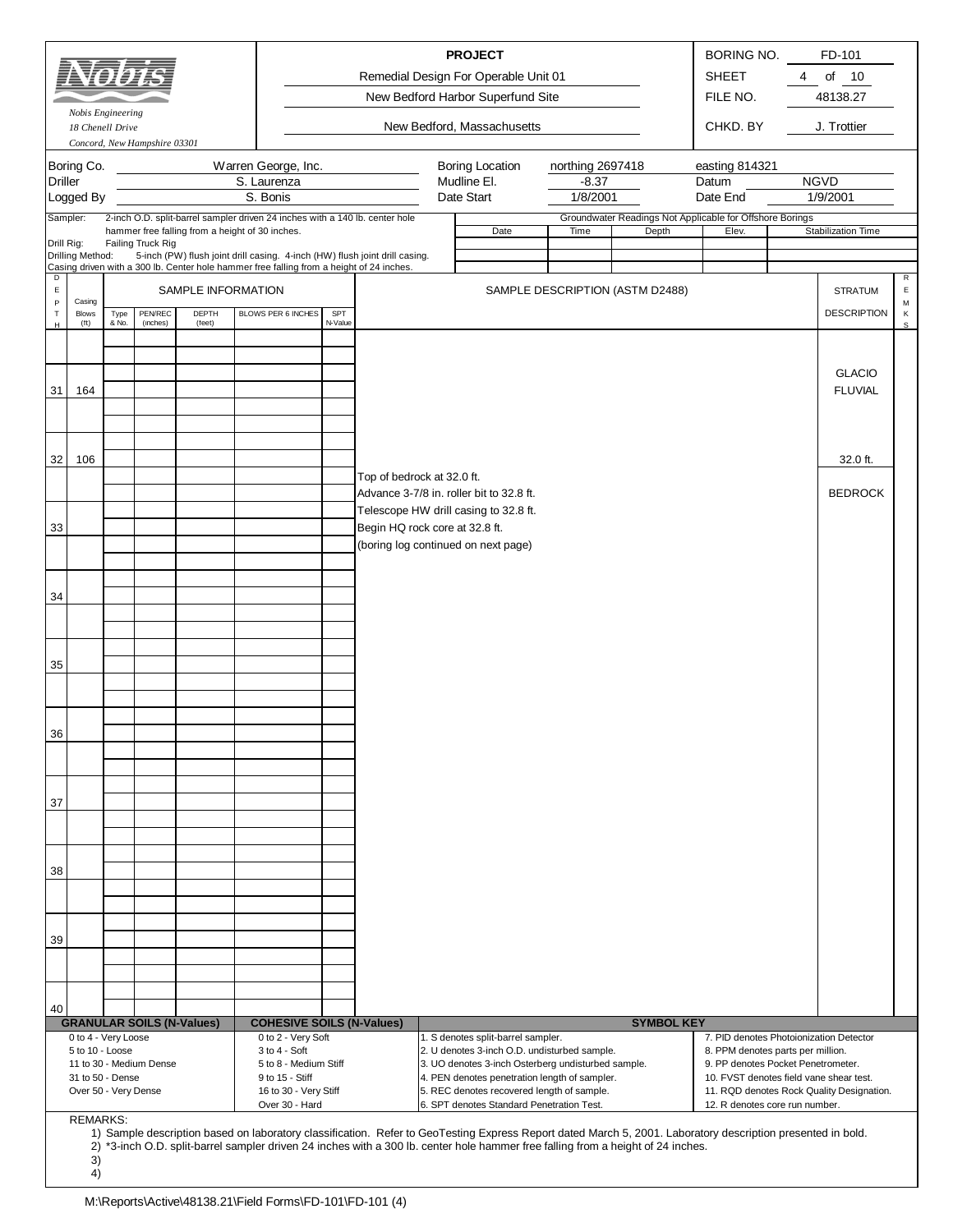|                                                                                                                      |                                                                                    |               |                              |                                                 |                         |                                                                                                                            |                |                                                                                                                                                                         |  | <b>PROJECT</b><br>Remedial Design For Operable Unit 01<br>New Bedford Harbor Superfund Site                                                                                                                                                                                                     |                                         |                   | BORING NO.<br><b>SHEET</b><br>FILE NO.                                                                                                                                                          | 4 | FD-101<br>of<br>10<br>48138.27            |                       |
|----------------------------------------------------------------------------------------------------------------------|------------------------------------------------------------------------------------|---------------|------------------------------|-------------------------------------------------|-------------------------|----------------------------------------------------------------------------------------------------------------------------|----------------|-------------------------------------------------------------------------------------------------------------------------------------------------------------------------|--|-------------------------------------------------------------------------------------------------------------------------------------------------------------------------------------------------------------------------------------------------------------------------------------------------|-----------------------------------------|-------------------|-------------------------------------------------------------------------------------------------------------------------------------------------------------------------------------------------|---|-------------------------------------------|-----------------------|
|                                                                                                                      | Nobis Engineering<br>18 Chenell Drive                                              |               | Concord, New Hampshire 03301 |                                                 |                         |                                                                                                                            |                |                                                                                                                                                                         |  | New Bedford, Massachusetts                                                                                                                                                                                                                                                                      |                                         |                   | CHKD. BY                                                                                                                                                                                        |   | J. Trottier                               |                       |
| <b>Driller</b>                                                                                                       | Boring Co.<br>Logged By                                                            |               |                              |                                                 | S. Laurenza<br>S. Bonis | Warren George, Inc.                                                                                                        |                |                                                                                                                                                                         |  | <b>Boring Location</b><br>Mudline El.<br>Date Start                                                                                                                                                                                                                                             | northing 2697418<br>$-8.37$<br>1/8/2001 |                   | easting 814321<br>Datum<br>Date End                                                                                                                                                             |   | <b>NGVD</b><br>1/9/2001                   |                       |
| Drill Rig:                                                                                                           | Sampler:                                                                           |               | Failing Truck Rig            | hammer free falling from a height of 30 inches. |                         |                                                                                                                            |                | 2-inch O.D. split-barrel sampler driven 24 inches with a 140 lb. center hole                                                                                            |  | Date                                                                                                                                                                                                                                                                                            | Time                                    | Depth             | Groundwater Readings Not Applicable for Offshore Borings<br>Elev.                                                                                                                               |   | Stabilization Time                        |                       |
| D<br>$\mathsf E$                                                                                                     | Drilling Method:                                                                   |               |                              | SAMPLE INFORMATION                              |                         |                                                                                                                            |                | 5-inch (PW) flush joint drill casing. 4-inch (HW) flush joint drill casing.<br>Casing driven with a 300 lb. Center hole hammer free falling from a height of 24 inches. |  |                                                                                                                                                                                                                                                                                                 | SAMPLE DESCRIPTION (ASTM D2488)         |                   |                                                                                                                                                                                                 |   | <b>STRATUM</b>                            | R<br>$\mathsf E$      |
| $\,$ P<br>$\top$<br>н                                                                                                | Casing<br><b>Blows</b><br>$({\rm ft})$                                             | Type<br>& No. | PEN/REC<br>(inches)          | DEPTH<br>(feet)                                 |                         | BLOWS PER 6 INCHES                                                                                                         | SPT<br>N-Value |                                                                                                                                                                         |  |                                                                                                                                                                                                                                                                                                 |                                         |                   |                                                                                                                                                                                                 |   | <b>DESCRIPTION</b>                        | М<br>κ<br>$\mathbb S$ |
| 31                                                                                                                   | 164                                                                                |               |                              |                                                 |                         |                                                                                                                            |                |                                                                                                                                                                         |  |                                                                                                                                                                                                                                                                                                 |                                         |                   |                                                                                                                                                                                                 |   | <b>GLACIO</b><br><b>FLUVIAL</b>           |                       |
| 32                                                                                                                   | 106                                                                                |               |                              |                                                 |                         |                                                                                                                            |                |                                                                                                                                                                         |  |                                                                                                                                                                                                                                                                                                 |                                         |                   |                                                                                                                                                                                                 |   | 32.0 ft.                                  |                       |
|                                                                                                                      |                                                                                    |               |                              |                                                 |                         |                                                                                                                            |                | Top of bedrock at 32.0 ft.                                                                                                                                              |  | Advance 3-7/8 in. roller bit to 32.8 ft.                                                                                                                                                                                                                                                        |                                         |                   |                                                                                                                                                                                                 |   | <b>BEDROCK</b>                            |                       |
| Telescope HW drill casing to 32.8 ft.<br>Begin HQ rock core at 32.8 ft.<br>33<br>(boring log continued on next page) |                                                                                    |               |                              |                                                 |                         |                                                                                                                            |                |                                                                                                                                                                         |  |                                                                                                                                                                                                                                                                                                 |                                         |                   |                                                                                                                                                                                                 |   |                                           |                       |
| 34                                                                                                                   |                                                                                    |               |                              |                                                 |                         |                                                                                                                            |                |                                                                                                                                                                         |  |                                                                                                                                                                                                                                                                                                 |                                         |                   |                                                                                                                                                                                                 |   |                                           |                       |
|                                                                                                                      |                                                                                    |               |                              |                                                 |                         |                                                                                                                            |                |                                                                                                                                                                         |  |                                                                                                                                                                                                                                                                                                 |                                         |                   |                                                                                                                                                                                                 |   |                                           |                       |
| 35                                                                                                                   |                                                                                    |               |                              |                                                 |                         |                                                                                                                            |                |                                                                                                                                                                         |  |                                                                                                                                                                                                                                                                                                 |                                         |                   |                                                                                                                                                                                                 |   |                                           |                       |
| 36                                                                                                                   |                                                                                    |               |                              |                                                 |                         |                                                                                                                            |                |                                                                                                                                                                         |  |                                                                                                                                                                                                                                                                                                 |                                         |                   |                                                                                                                                                                                                 |   |                                           |                       |
| 37                                                                                                                   |                                                                                    |               |                              |                                                 |                         |                                                                                                                            |                |                                                                                                                                                                         |  |                                                                                                                                                                                                                                                                                                 |                                         |                   |                                                                                                                                                                                                 |   |                                           |                       |
| 38                                                                                                                   |                                                                                    |               |                              |                                                 |                         |                                                                                                                            |                |                                                                                                                                                                         |  |                                                                                                                                                                                                                                                                                                 |                                         |                   |                                                                                                                                                                                                 |   |                                           |                       |
| 39                                                                                                                   |                                                                                    |               |                              |                                                 |                         |                                                                                                                            |                |                                                                                                                                                                         |  |                                                                                                                                                                                                                                                                                                 |                                         |                   |                                                                                                                                                                                                 |   |                                           |                       |
|                                                                                                                      |                                                                                    |               |                              |                                                 |                         |                                                                                                                            |                |                                                                                                                                                                         |  |                                                                                                                                                                                                                                                                                                 |                                         |                   |                                                                                                                                                                                                 |   |                                           |                       |
| 40                                                                                                                   |                                                                                    |               |                              | <b>GRANULAR SOILS (N-Values)</b>                |                         |                                                                                                                            |                | <b>COHESIVE SOILS (N-Values)</b>                                                                                                                                        |  |                                                                                                                                                                                                                                                                                                 |                                         | <b>SYMBOL KEY</b> |                                                                                                                                                                                                 |   |                                           |                       |
|                                                                                                                      | 0 to 4 - Very Loose<br>5 to 10 - Loose<br>31 to 50 - Dense<br>Over 50 - Very Dense |               | 11 to 30 - Medium Dense      |                                                 |                         | 0 to 2 - Very Soft<br>3 to 4 - Soft<br>5 to 8 - Medium Stiff<br>9 to 15 - Stiff<br>16 to 30 - Very Stiff<br>Over 30 - Hard |                |                                                                                                                                                                         |  | 1. S denotes split-barrel sampler.<br>2. U denotes 3-inch O.D. undisturbed sample.<br>3. UO denotes 3-inch Osterberg undisturbed sample.<br>4. PEN denotes penetration length of sampler.<br>5. REC denotes recovered length of sample.<br>6. SPT denotes Standard Penetration Test.            |                                         |                   | 7. PID denotes Photoionization Detector<br>8. PPM denotes parts per million.<br>9. PP denotes Pocket Penetrometer.<br>10. FVST denotes field vane shear test.<br>12. R denotes core run number. |   | 11. RQD denotes Rock Quality Designation. |                       |
|                                                                                                                      | <b>REMARKS:</b><br>3)<br>4)                                                        |               |                              |                                                 |                         |                                                                                                                            |                |                                                                                                                                                                         |  | 1) Sample description based on laboratory classification. Refer to GeoTesting Express Report dated March 5, 2001. Laboratory description presented in bold.<br>2) *3-inch O.D. split-barrel sampler driven 24 inches with a 300 lb. center hole hammer free falling from a height of 24 inches. |                                         |                   |                                                                                                                                                                                                 |   |                                           |                       |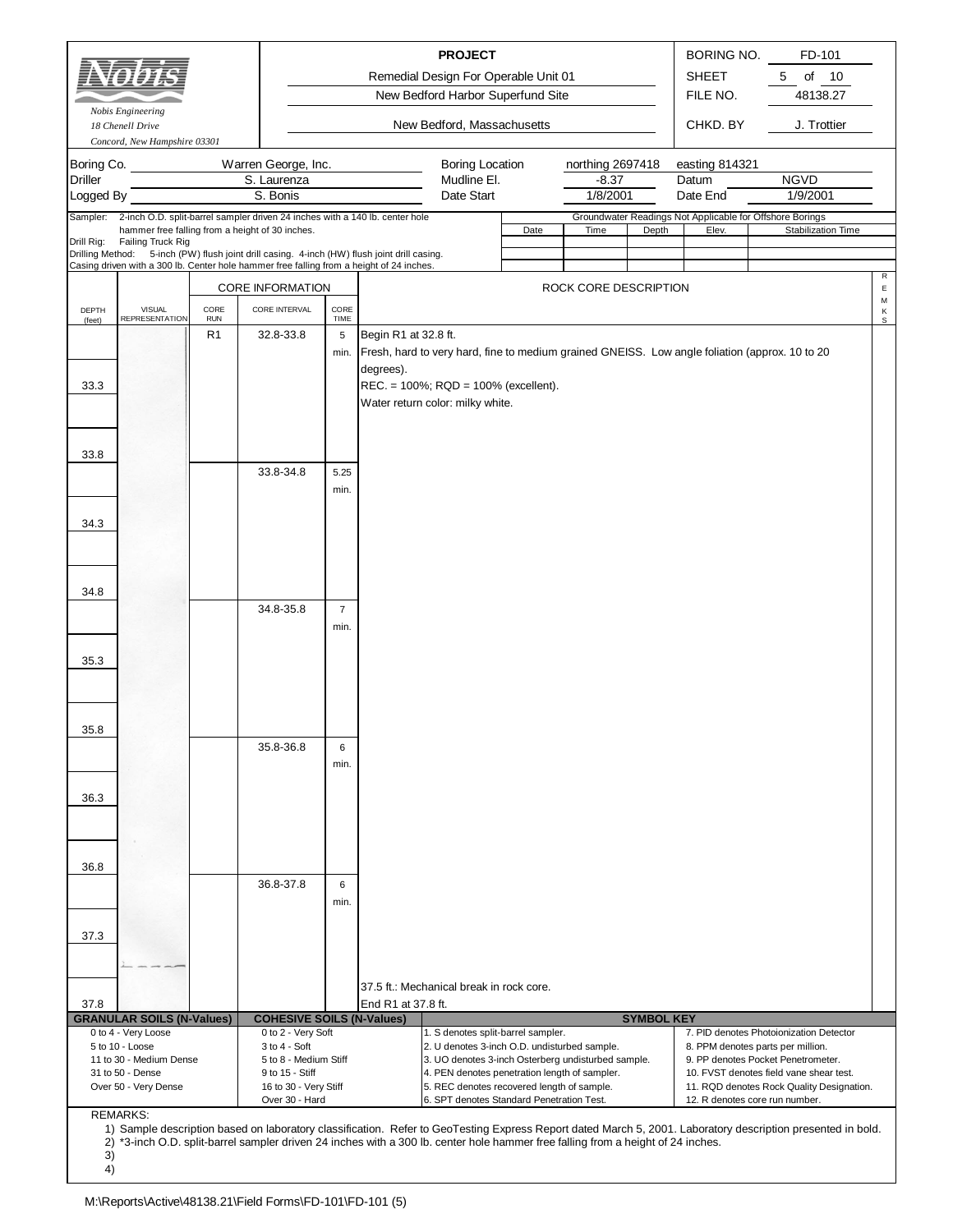|                              | 5 to 10 - Loose<br>11 to 30 - Medium Dense<br>31 to 50 - Dense<br>Over 50 - Very Dense |                              | $3$ to $4 - Soft$<br>5 to 8 - Medium Stiff<br>9 to 15 - Stiff<br>16 to 30 - Very Stiff<br>Over 30 - Hard                                                                                 |                |                      | 2. U denotes 3-inch O.D. undisturbed sample.<br>3. UO denotes 3-inch Osterberg undisturbed sample.<br>4. PEN denotes penetration length of sampler.<br>5. REC denotes recovered length of sample.<br>6. SPT denotes Standard Penetration Test. |      |                             |                   |                                   | 8. PPM denotes parts per million.<br>9. PP denotes Pocket Penetrometer.<br>10. FVST denotes field vane shear test.<br>11. RQD denotes Rock Quality Designation.<br>12. R denotes core run number. |                       |
|------------------------------|----------------------------------------------------------------------------------------|------------------------------|------------------------------------------------------------------------------------------------------------------------------------------------------------------------------------------|----------------|----------------------|------------------------------------------------------------------------------------------------------------------------------------------------------------------------------------------------------------------------------------------------|------|-----------------------------|-------------------|-----------------------------------|---------------------------------------------------------------------------------------------------------------------------------------------------------------------------------------------------|-----------------------|
|                              | <b>GRANULAR SOILS (N-Values)</b><br>0 to 4 - Very Loose                                |                              | <b>COHESIVE SOILS (N-Values)</b><br>0 to 2 - Very Soft                                                                                                                                   |                |                      | 1. S denotes split-barrel sampler.                                                                                                                                                                                                             |      |                             | <b>SYMBOL KEY</b> |                                   | 7. PID denotes Photoionization Detector                                                                                                                                                           |                       |
| 37.8                         |                                                                                        |                              |                                                                                                                                                                                          |                | End R1 at 37.8 ft.   |                                                                                                                                                                                                                                                |      |                             |                   |                                   |                                                                                                                                                                                                   |                       |
|                              |                                                                                        |                              |                                                                                                                                                                                          |                |                      | 37.5 ft.: Mechanical break in rock core.                                                                                                                                                                                                       |      |                             |                   |                                   |                                                                                                                                                                                                   |                       |
| 37.3                         |                                                                                        |                              |                                                                                                                                                                                          |                |                      |                                                                                                                                                                                                                                                |      |                             |                   |                                   |                                                                                                                                                                                                   |                       |
|                              |                                                                                        |                              |                                                                                                                                                                                          | min.           |                      |                                                                                                                                                                                                                                                |      |                             |                   |                                   |                                                                                                                                                                                                   |                       |
| 36.8                         |                                                                                        |                              | 36.8-37.8                                                                                                                                                                                | 6              |                      |                                                                                                                                                                                                                                                |      |                             |                   |                                   |                                                                                                                                                                                                   |                       |
|                              |                                                                                        |                              |                                                                                                                                                                                          |                |                      |                                                                                                                                                                                                                                                |      |                             |                   |                                   |                                                                                                                                                                                                   |                       |
| 36.3                         |                                                                                        |                              |                                                                                                                                                                                          |                |                      |                                                                                                                                                                                                                                                |      |                             |                   |                                   |                                                                                                                                                                                                   |                       |
|                              |                                                                                        |                              |                                                                                                                                                                                          | min.           |                      |                                                                                                                                                                                                                                                |      |                             |                   |                                   |                                                                                                                                                                                                   |                       |
| 35.8                         |                                                                                        |                              | 35.8-36.8                                                                                                                                                                                | 6              |                      |                                                                                                                                                                                                                                                |      |                             |                   |                                   |                                                                                                                                                                                                   |                       |
|                              |                                                                                        |                              |                                                                                                                                                                                          |                |                      |                                                                                                                                                                                                                                                |      |                             |                   |                                   |                                                                                                                                                                                                   |                       |
| 35.3                         |                                                                                        |                              |                                                                                                                                                                                          |                |                      |                                                                                                                                                                                                                                                |      |                             |                   |                                   |                                                                                                                                                                                                   |                       |
|                              |                                                                                        |                              |                                                                                                                                                                                          | min.           |                      |                                                                                                                                                                                                                                                |      |                             |                   |                                   |                                                                                                                                                                                                   |                       |
| 34.8                         |                                                                                        |                              | 34.8-35.8                                                                                                                                                                                | $\overline{7}$ |                      |                                                                                                                                                                                                                                                |      |                             |                   |                                   |                                                                                                                                                                                                   |                       |
|                              |                                                                                        |                              |                                                                                                                                                                                          |                |                      |                                                                                                                                                                                                                                                |      |                             |                   |                                   |                                                                                                                                                                                                   |                       |
| 34.3                         |                                                                                        |                              |                                                                                                                                                                                          |                |                      |                                                                                                                                                                                                                                                |      |                             |                   |                                   |                                                                                                                                                                                                   |                       |
|                              |                                                                                        |                              | 33.8-34.8                                                                                                                                                                                | 5.25<br>min.   |                      |                                                                                                                                                                                                                                                |      |                             |                   |                                   |                                                                                                                                                                                                   |                       |
| 33.8                         |                                                                                        |                              |                                                                                                                                                                                          |                |                      |                                                                                                                                                                                                                                                |      |                             |                   |                                   |                                                                                                                                                                                                   |                       |
| 33.3                         |                                                                                        |                              |                                                                                                                                                                                          |                |                      | $REC = 100\%$ ; $RQD = 100\%$ (excellent).<br>Water return color: milky white.                                                                                                                                                                 |      |                             |                   |                                   |                                                                                                                                                                                                   |                       |
|                              |                                                                                        |                              |                                                                                                                                                                                          | min.           | degrees).            |                                                                                                                                                                                                                                                |      |                             |                   |                                   | Fresh, hard to very hard, fine to medium grained GNEISS. Low angle foliation (approx. 10 to 20                                                                                                    |                       |
| (feet)                       | <b>REPRESENTATION</b>                                                                  | <b>RUN</b><br>R <sub>1</sub> | 32.8-33.8                                                                                                                                                                                | TIME<br>5      | Begin R1 at 32.8 ft. |                                                                                                                                                                                                                                                |      |                             |                   |                                   |                                                                                                                                                                                                   | s                     |
| DEPTH                        | <b>VISUAL</b>                                                                          | CORE                         | <b>CORE INFORMATION</b><br>CORE INTERVAL                                                                                                                                                 | CORE           |                      |                                                                                                                                                                                                                                                |      | ROCK CORE DESCRIPTION       |                   |                                   |                                                                                                                                                                                                   | $\mathsf E$<br>М<br>Κ |
|                              |                                                                                        |                              | Drilling Method: 5-inch (PW) flush joint drill casing. 4-inch (HW) flush joint drill casing.<br>Casing driven with a 300 lb. Center hole hammer free falling from a height of 24 inches. |                |                      |                                                                                                                                                                                                                                                |      |                             |                   |                                   |                                                                                                                                                                                                   | R                     |
| Sampler:<br>Drill Rig:       | hammer free falling from a height of 30 inches.<br>Failing Truck Rig                   |                              | 2-inch O.D. split-barrel sampler driven 24 inches with a 140 lb. center hole                                                                                                             |                |                      |                                                                                                                                                                                                                                                | Date | Time                        | Depth             | Elev.                             | Groundwater Readings Not Applicable for Offshore Borings<br>Stabilization Time                                                                                                                    |                       |
| Logged By                    |                                                                                        |                              | S. Bonis                                                                                                                                                                                 |                |                      | Date Start                                                                                                                                                                                                                                     |      | 1/8/2001                    |                   | Date End                          | 1/9/2001                                                                                                                                                                                          |                       |
| Boring Co.<br><b>Driller</b> |                                                                                        |                              | Warren George, Inc.<br>S. Laurenza                                                                                                                                                       |                |                      | <b>Boring Location</b><br>Mudline El.                                                                                                                                                                                                          |      | northing 2697418<br>$-8.37$ |                   | easting 814321<br>Datum           | <b>NGVD</b>                                                                                                                                                                                       |                       |
|                              | Nobis Engineering<br>18 Chenell Drive<br>Concord, New Hampshire 03301                  |                              |                                                                                                                                                                                          |                |                      | New Bedford, Massachusetts                                                                                                                                                                                                                     |      |                             |                   | CHKD. BY                          | J. Trottier                                                                                                                                                                                       |                       |
|                              |                                                                                        |                              |                                                                                                                                                                                          |                |                      | New Bedford Harbor Superfund Site                                                                                                                                                                                                              |      |                             |                   | FILE NO.                          | 48138.27                                                                                                                                                                                          |                       |
|                              |                                                                                        |                              |                                                                                                                                                                                          |                |                      | <b>PROJECT</b><br>Remedial Design For Operable Unit 01                                                                                                                                                                                         |      |                             |                   | <b>BORING NO.</b><br><b>SHEET</b> | FD-101<br>$5\phantom{.0}$<br>of<br>10                                                                                                                                                             |                       |

1) Sample description based on laboratory classification. Refer to GeoTesting Express Report dated March 5, 2001. Laboratory description presented in bold. \*3-inch O.D. split-barrel sampler driven 24 inches with a 300 lb. center hole hammer free falling from a height of 24 inches.

<sup>2)</sup> 3)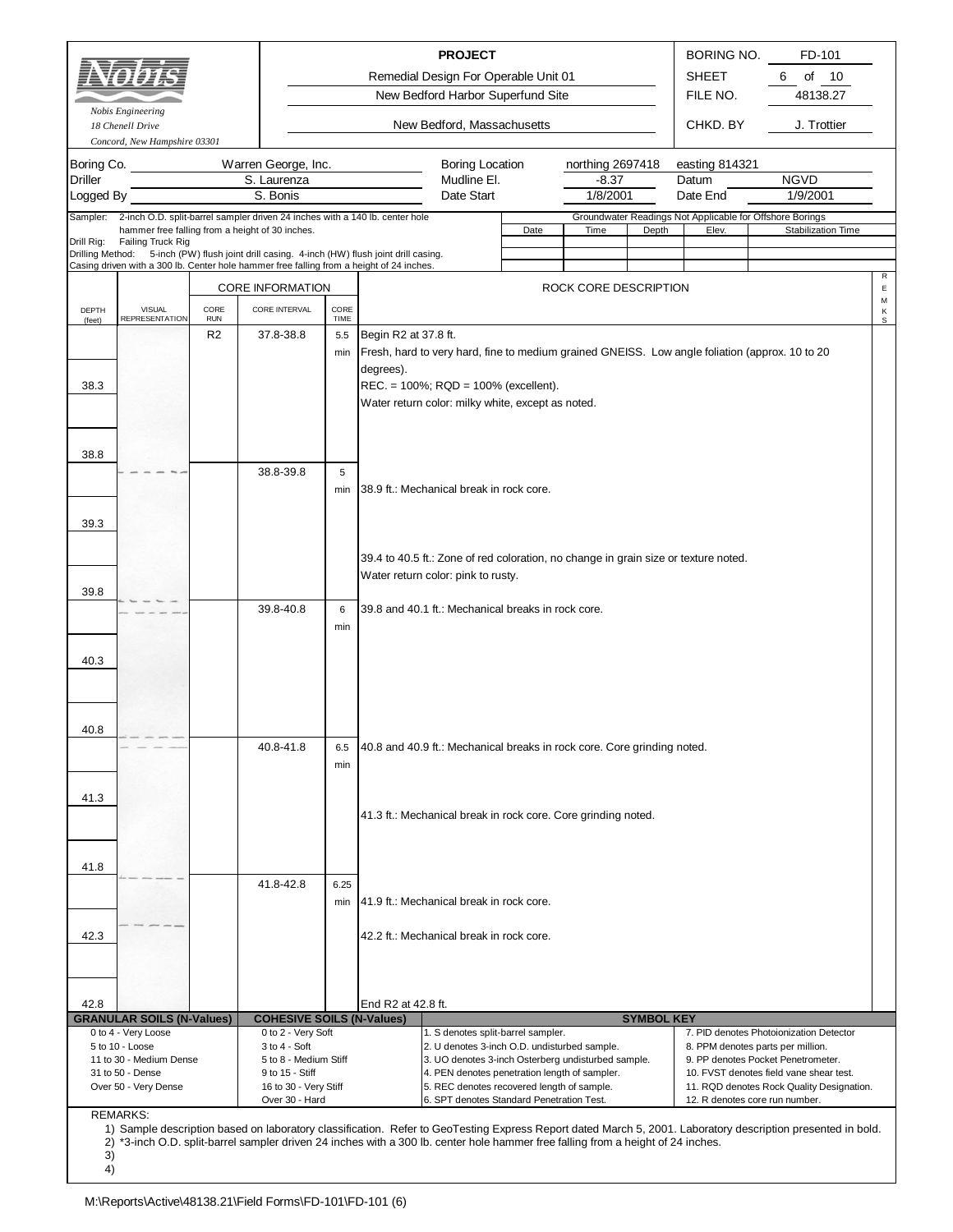|                                                                                                                                                                                                                                                                                                                                                                                                                                                                                                                                                                                                                                                                                                                                                                                                        | Ξ£<br>Nobis Engineering                                                                                                                                                                                                                                          |                    |                                                |              |                                   | <b>PROJECT</b><br>Remedial Design For Operable Unit 01<br>New Bedford Harbor Superfund Site                                                                                     |      |                                         |                   | <b>BORING NO.</b><br><b>SHEET</b><br>FILE NO.<br>CHKD. BY                                       | FD-101<br>6<br>of<br>10<br>48138.27<br>J. Trottier |                  |
|--------------------------------------------------------------------------------------------------------------------------------------------------------------------------------------------------------------------------------------------------------------------------------------------------------------------------------------------------------------------------------------------------------------------------------------------------------------------------------------------------------------------------------------------------------------------------------------------------------------------------------------------------------------------------------------------------------------------------------------------------------------------------------------------------------|------------------------------------------------------------------------------------------------------------------------------------------------------------------------------------------------------------------------------------------------------------------|--------------------|------------------------------------------------|--------------|-----------------------------------|---------------------------------------------------------------------------------------------------------------------------------------------------------------------------------|------|-----------------------------------------|-------------------|-------------------------------------------------------------------------------------------------|----------------------------------------------------|------------------|
|                                                                                                                                                                                                                                                                                                                                                                                                                                                                                                                                                                                                                                                                                                                                                                                                        | 18 Chenell Drive<br>Concord, New Hampshire 03301                                                                                                                                                                                                                 |                    |                                                |              |                                   | New Bedford, Massachusetts                                                                                                                                                      |      |                                         |                   |                                                                                                 |                                                    |                  |
| Boring Co.<br><b>Driller</b><br>Logged By<br>Sampler:                                                                                                                                                                                                                                                                                                                                                                                                                                                                                                                                                                                                                                                                                                                                                  | 2-inch O.D. split-barrel sampler driven 24 inches with a 140 lb. center hole                                                                                                                                                                                     |                    | Warren George, Inc.<br>S. Laurenza<br>S. Bonis |              |                                   | <b>Boring Location</b><br>Mudline El.<br>Date Start                                                                                                                             |      | northing 2697418<br>$-8.37$<br>1/8/2001 |                   | easting 814321<br>Datum<br>Date End<br>Groundwater Readings Not Applicable for Offshore Borings | <b>NGVD</b><br>1/9/2001                            |                  |
| Drill Rig:                                                                                                                                                                                                                                                                                                                                                                                                                                                                                                                                                                                                                                                                                                                                                                                             | hammer free falling from a height of 30 inches.<br>Failing Truck Rig<br>Drilling Method: 5-inch (PW) flush joint drill casing. 4-inch (HW) flush joint drill casing.<br>Casing driven with a 300 lb. Center hole hammer free falling from a height of 24 inches. |                    |                                                |              |                                   |                                                                                                                                                                                 | Date | Time                                    | Depth             | Elev.                                                                                           | Stabilization Time                                 |                  |
|                                                                                                                                                                                                                                                                                                                                                                                                                                                                                                                                                                                                                                                                                                                                                                                                        |                                                                                                                                                                                                                                                                  |                    | <b>CORE INFORMATION</b>                        |              |                                   |                                                                                                                                                                                 |      | ROCK CORE DESCRIPTION                   |                   |                                                                                                 |                                                    | R<br>$\mathsf E$ |
| DEPTH<br>(feet)                                                                                                                                                                                                                                                                                                                                                                                                                                                                                                                                                                                                                                                                                                                                                                                        | <b>VISUAL</b><br><b>REPRESENTATION</b>                                                                                                                                                                                                                           | CORE<br><b>RUN</b> | CORE INTERVAL                                  | CORE<br>TIME |                                   |                                                                                                                                                                                 |      |                                         |                   |                                                                                                 |                                                    | М<br>Κ<br>s      |
| 38.3                                                                                                                                                                                                                                                                                                                                                                                                                                                                                                                                                                                                                                                                                                                                                                                                   |                                                                                                                                                                                                                                                                  | R <sub>2</sub>     | 37.8-38.8                                      | 5.5<br>min   | Begin R2 at 37.8 ft.<br>degrees). | REC. = 100%; RQD = 100% (excellent).<br>Water return color: milky white, except as noted.                                                                                       |      |                                         |                   | Fresh, hard to very hard, fine to medium grained GNEISS. Low angle foliation (approx. 10 to 20  |                                                    |                  |
| 38.8<br>39.3                                                                                                                                                                                                                                                                                                                                                                                                                                                                                                                                                                                                                                                                                                                                                                                           |                                                                                                                                                                                                                                                                  |                    | 38.8-39.8                                      | 5<br>min     |                                   | 38.9 ft.: Mechanical break in rock core.                                                                                                                                        |      |                                         |                   |                                                                                                 |                                                    |                  |
| 39.8                                                                                                                                                                                                                                                                                                                                                                                                                                                                                                                                                                                                                                                                                                                                                                                                   |                                                                                                                                                                                                                                                                  |                    | 39.8-40.8                                      | 6<br>min     |                                   | 39.4 to 40.5 ft.: Zone of red coloration, no change in grain size or texture noted.<br>Water return color: pink to rusty.<br>39.8 and 40.1 ft.: Mechanical breaks in rock core. |      |                                         |                   |                                                                                                 |                                                    |                  |
| 40.3<br>40.8                                                                                                                                                                                                                                                                                                                                                                                                                                                                                                                                                                                                                                                                                                                                                                                           |                                                                                                                                                                                                                                                                  |                    |                                                |              |                                   |                                                                                                                                                                                 |      |                                         |                   |                                                                                                 |                                                    |                  |
| 41.3                                                                                                                                                                                                                                                                                                                                                                                                                                                                                                                                                                                                                                                                                                                                                                                                   |                                                                                                                                                                                                                                                                  |                    | 40.8-41.8                                      | 6.5<br>min   |                                   | 40.8 and 40.9 ft.: Mechanical breaks in rock core. Core grinding noted.                                                                                                         |      |                                         |                   |                                                                                                 |                                                    |                  |
| 41.8                                                                                                                                                                                                                                                                                                                                                                                                                                                                                                                                                                                                                                                                                                                                                                                                   |                                                                                                                                                                                                                                                                  |                    |                                                |              |                                   | 41.3 ft.: Mechanical break in rock core. Core grinding noted.                                                                                                                   |      |                                         |                   |                                                                                                 |                                                    |                  |
|                                                                                                                                                                                                                                                                                                                                                                                                                                                                                                                                                                                                                                                                                                                                                                                                        |                                                                                                                                                                                                                                                                  |                    | 41.8-42.8                                      | 6.25<br>min  |                                   | 41.9 ft.: Mechanical break in rock core.                                                                                                                                        |      |                                         |                   |                                                                                                 |                                                    |                  |
| 42.3                                                                                                                                                                                                                                                                                                                                                                                                                                                                                                                                                                                                                                                                                                                                                                                                   |                                                                                                                                                                                                                                                                  |                    |                                                |              |                                   | 42.2 ft.: Mechanical break in rock core.                                                                                                                                        |      |                                         |                   |                                                                                                 |                                                    |                  |
| 42.8                                                                                                                                                                                                                                                                                                                                                                                                                                                                                                                                                                                                                                                                                                                                                                                                   | <b>GRANULAR SOILS (N-Values)</b>                                                                                                                                                                                                                                 |                    | <b>COHESIVE SOILS (N-Values)</b>               |              | End R2 at 42.8 ft.                |                                                                                                                                                                                 |      |                                         | <b>SYMBOL KEY</b> |                                                                                                 |                                                    |                  |
| 0 to 4 - Very Loose<br>0 to 2 - Very Soft<br>1. S denotes split-barrel sampler.<br>7. PID denotes Photoionization Detector<br>3 to 4 - Soft<br>5 to 10 - Loose<br>2. U denotes 3-inch O.D. undisturbed sample.<br>8. PPM denotes parts per million.<br>5 to 8 - Medium Stiff<br>3. UO denotes 3-inch Osterberg undisturbed sample.<br>11 to 30 - Medium Dense<br>9. PP denotes Pocket Penetrometer.<br>4. PEN denotes penetration length of sampler.<br>31 to 50 - Dense<br>9 to 15 - Stiff<br>10. FVST denotes field vane shear test.<br>16 to 30 - Very Stiff<br>5. REC denotes recovered length of sample.<br>11. RQD denotes Rock Quality Designation.<br>Over 50 - Very Dense<br>6. SPT denotes Standard Penetration Test.<br>Over 30 - Hard<br>12. R denotes core run number.<br><b>REMARKS:</b> |                                                                                                                                                                                                                                                                  |                    |                                                |              |                                   |                                                                                                                                                                                 |      |                                         |                   |                                                                                                 |                                                    |                  |

1) 2) \*3-inch O.D. split-barrel sampler driven 24 inches with a 300 lb. center hole hammer free falling from a height of 24 inches. Sample description based on laboratory classification. Refer to GeoTesting Express Report dated March 5, 2001. Laboratory description presented in bold.

- 3)
- 4)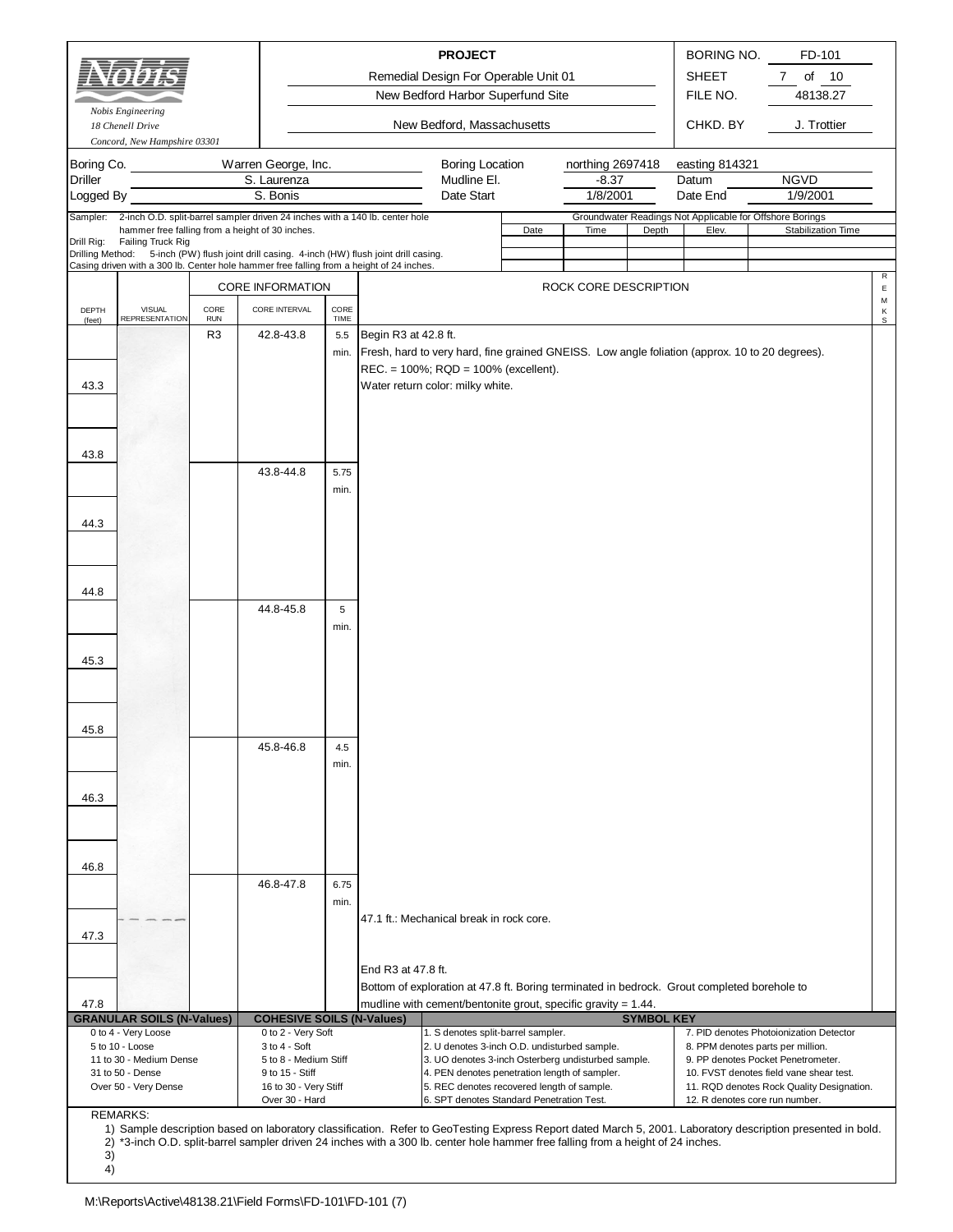|                              |                                                                                              |                    |                                                        |              |                      | <b>PROJECT</b><br>Remedial Design For Operable Unit 01<br>New Bedford Harbor Superfund Site    |      |                             |                   | BORING NO.<br><b>SHEET</b><br>FILE NO. | FD-101<br>$\overline{7}$<br>of<br>10<br>48138.27                                                                                                            |                  |
|------------------------------|----------------------------------------------------------------------------------------------|--------------------|--------------------------------------------------------|--------------|----------------------|------------------------------------------------------------------------------------------------|------|-----------------------------|-------------------|----------------------------------------|-------------------------------------------------------------------------------------------------------------------------------------------------------------|------------------|
|                              | Nobis Engineering<br>18 Chenell Drive                                                        |                    |                                                        |              |                      | New Bedford, Massachusetts                                                                     |      |                             |                   | CHKD, BY                               | J. Trottier                                                                                                                                                 |                  |
| Boring Co.<br><b>Driller</b> | Concord, New Hampshire 03301                                                                 |                    | Warren George, Inc.<br>S. Laurenza                     |              |                      | <b>Boring Location</b><br>Mudline El.                                                          |      | northing 2697418<br>$-8.37$ |                   | easting 814321<br>Datum                | <b>NGVD</b>                                                                                                                                                 |                  |
| Logged By                    |                                                                                              |                    | S. Bonis                                               |              |                      | Date Start                                                                                     |      | 1/8/2001                    |                   | Date End                               | 1/9/2001                                                                                                                                                    |                  |
| Sampler:                     | 2-inch O.D. split-barrel sampler driven 24 inches with a 140 lb. center hole                 |                    |                                                        |              |                      |                                                                                                |      |                             |                   |                                        | Groundwater Readings Not Applicable for Offshore Borings                                                                                                    |                  |
| Drill Rig:                   | hammer free falling from a height of 30 inches.<br>Failing Truck Rig                         |                    |                                                        |              |                      |                                                                                                | Date | Time                        | Depth             | Elev.                                  | Stabilization Time                                                                                                                                          |                  |
|                              | Drilling Method: 5-inch (PW) flush joint drill casing. 4-inch (HW) flush joint drill casing. |                    |                                                        |              |                      |                                                                                                |      |                             |                   |                                        |                                                                                                                                                             |                  |
|                              | Casing driven with a 300 lb. Center hole hammer free falling from a height of 24 inches.     |                    |                                                        |              |                      |                                                                                                |      |                             |                   |                                        |                                                                                                                                                             | R                |
|                              |                                                                                              |                    | <b>CORE INFORMATION</b>                                |              |                      |                                                                                                |      | ROCK CORE DESCRIPTION       |                   |                                        |                                                                                                                                                             | $\mathsf E$<br>М |
| DEPTH<br>(feet)              | <b>VISUAL</b><br><b>REPRESENTATION</b>                                                       | CORE<br><b>RUN</b> | CORE INTERVAL                                          | CORE<br>TIME |                      |                                                                                                |      |                             |                   |                                        |                                                                                                                                                             | $\sf K$<br>S     |
|                              |                                                                                              | R <sub>3</sub>     | 42.8-43.8                                              | 5.5          | Begin R3 at 42.8 ft. |                                                                                                |      |                             |                   |                                        |                                                                                                                                                             |                  |
|                              |                                                                                              |                    |                                                        | min.         |                      | Fresh, hard to very hard, fine grained GNEISS. Low angle foliation (approx. 10 to 20 degrees). |      |                             |                   |                                        |                                                                                                                                                             |                  |
|                              |                                                                                              |                    |                                                        |              |                      | REC. = 100%; RQD = 100% (excellent).                                                           |      |                             |                   |                                        |                                                                                                                                                             |                  |
| 43.3                         |                                                                                              |                    |                                                        |              |                      | Water return color: milky white.                                                               |      |                             |                   |                                        |                                                                                                                                                             |                  |
|                              |                                                                                              |                    |                                                        |              |                      |                                                                                                |      |                             |                   |                                        |                                                                                                                                                             |                  |
|                              |                                                                                              |                    |                                                        |              |                      |                                                                                                |      |                             |                   |                                        |                                                                                                                                                             |                  |
| 43.8                         |                                                                                              |                    |                                                        |              |                      |                                                                                                |      |                             |                   |                                        |                                                                                                                                                             |                  |
|                              |                                                                                              |                    | 43.8-44.8                                              | 5.75         |                      |                                                                                                |      |                             |                   |                                        |                                                                                                                                                             |                  |
|                              |                                                                                              |                    |                                                        | min.         |                      |                                                                                                |      |                             |                   |                                        |                                                                                                                                                             |                  |
|                              |                                                                                              |                    |                                                        |              |                      |                                                                                                |      |                             |                   |                                        |                                                                                                                                                             |                  |
| 44.3                         |                                                                                              |                    |                                                        |              |                      |                                                                                                |      |                             |                   |                                        |                                                                                                                                                             |                  |
|                              |                                                                                              |                    |                                                        |              |                      |                                                                                                |      |                             |                   |                                        |                                                                                                                                                             |                  |
|                              |                                                                                              |                    |                                                        |              |                      |                                                                                                |      |                             |                   |                                        |                                                                                                                                                             |                  |
|                              |                                                                                              |                    |                                                        |              |                      |                                                                                                |      |                             |                   |                                        |                                                                                                                                                             |                  |
| 44.8                         |                                                                                              |                    |                                                        |              |                      |                                                                                                |      |                             |                   |                                        |                                                                                                                                                             |                  |
|                              |                                                                                              |                    | 44.8-45.8                                              | 5            |                      |                                                                                                |      |                             |                   |                                        |                                                                                                                                                             |                  |
|                              |                                                                                              |                    |                                                        | min.         |                      |                                                                                                |      |                             |                   |                                        |                                                                                                                                                             |                  |
| 45.3                         |                                                                                              |                    |                                                        |              |                      |                                                                                                |      |                             |                   |                                        |                                                                                                                                                             |                  |
|                              |                                                                                              |                    |                                                        |              |                      |                                                                                                |      |                             |                   |                                        |                                                                                                                                                             |                  |
|                              |                                                                                              |                    |                                                        |              |                      |                                                                                                |      |                             |                   |                                        |                                                                                                                                                             |                  |
|                              |                                                                                              |                    |                                                        |              |                      |                                                                                                |      |                             |                   |                                        |                                                                                                                                                             |                  |
| 45.8                         |                                                                                              |                    |                                                        |              |                      |                                                                                                |      |                             |                   |                                        |                                                                                                                                                             |                  |
|                              |                                                                                              |                    | 45.8-46.8                                              | 4.5          |                      |                                                                                                |      |                             |                   |                                        |                                                                                                                                                             |                  |
|                              |                                                                                              |                    |                                                        | min.         |                      |                                                                                                |      |                             |                   |                                        |                                                                                                                                                             |                  |
|                              |                                                                                              |                    |                                                        |              |                      |                                                                                                |      |                             |                   |                                        |                                                                                                                                                             |                  |
| 46.3                         |                                                                                              |                    |                                                        |              |                      |                                                                                                |      |                             |                   |                                        |                                                                                                                                                             |                  |
|                              |                                                                                              |                    |                                                        |              |                      |                                                                                                |      |                             |                   |                                        |                                                                                                                                                             |                  |
|                              |                                                                                              |                    |                                                        |              |                      |                                                                                                |      |                             |                   |                                        |                                                                                                                                                             |                  |
| 46.8                         |                                                                                              |                    |                                                        |              |                      |                                                                                                |      |                             |                   |                                        |                                                                                                                                                             |                  |
|                              |                                                                                              |                    | 46.8-47.8                                              | 6.75         |                      |                                                                                                |      |                             |                   |                                        |                                                                                                                                                             |                  |
|                              |                                                                                              |                    |                                                        | min.         |                      |                                                                                                |      |                             |                   |                                        |                                                                                                                                                             |                  |
|                              |                                                                                              |                    |                                                        |              |                      | 47.1 ft.: Mechanical break in rock core.                                                       |      |                             |                   |                                        |                                                                                                                                                             |                  |
| 47.3                         |                                                                                              |                    |                                                        |              |                      |                                                                                                |      |                             |                   |                                        |                                                                                                                                                             |                  |
|                              |                                                                                              |                    |                                                        |              |                      |                                                                                                |      |                             |                   |                                        |                                                                                                                                                             |                  |
|                              |                                                                                              |                    |                                                        |              | End R3 at 47.8 ft.   |                                                                                                |      |                             |                   |                                        |                                                                                                                                                             |                  |
|                              |                                                                                              |                    |                                                        |              |                      | Bottom of exploration at 47.8 ft. Boring terminated in bedrock. Grout completed borehole to    |      |                             |                   |                                        |                                                                                                                                                             |                  |
| 47.8                         |                                                                                              |                    |                                                        |              |                      | mudline with cement/bentonite grout, specific gravity = $1.44$ .                               |      |                             |                   |                                        |                                                                                                                                                             |                  |
|                              | <b>GRANULAR SOILS (N-Values)</b><br>0 to 4 - Very Loose                                      |                    | <b>COHESIVE SOILS (N-Values)</b><br>0 to 2 - Very Soft |              |                      | 1. S denotes split-barrel sampler.                                                             |      |                             | <b>SYMBOL KEY</b> |                                        | 7. PID denotes Photoionization Detector                                                                                                                     |                  |
|                              | 5 to 10 - Loose                                                                              |                    | $3$ to $4 - Soft$                                      |              |                      | 2. U denotes 3-inch O.D. undisturbed sample.                                                   |      |                             |                   |                                        | 8. PPM denotes parts per million.                                                                                                                           |                  |
|                              | 11 to 30 - Medium Dense                                                                      |                    | 5 to 8 - Medium Stiff                                  |              |                      | 3. UO denotes 3-inch Osterberg undisturbed sample.                                             |      |                             |                   |                                        | 9. PP denotes Pocket Penetrometer.                                                                                                                          |                  |
|                              | 31 to 50 - Dense<br>Over 50 - Very Dense                                                     |                    | 9 to 15 - Stiff<br>16 to 30 - Very Stiff               |              |                      | 4. PEN denotes penetration length of sampler.<br>5. REC denotes recovered length of sample.    |      |                             |                   |                                        | 10. FVST denotes field vane shear test.<br>11. RQD denotes Rock Quality Designation.                                                                        |                  |
|                              |                                                                                              |                    | Over 30 - Hard                                         |              |                      | 6. SPT denotes Standard Penetration Test.                                                      |      |                             |                   |                                        | 12. R denotes core run number.                                                                                                                              |                  |
|                              | <b>REMARKS:</b>                                                                              |                    |                                                        |              |                      |                                                                                                |      |                             |                   |                                        | 1) Sample description based on laboratory classification. Refer to GeoTesting Express Report dated March 5, 2001. Laboratory description presented in bold. |                  |

2) \*3-inch O.D. split-barrel sampler driven 24 inches with a 300 lb. center hole hammer free falling from a height of 24 inches.

3) 4)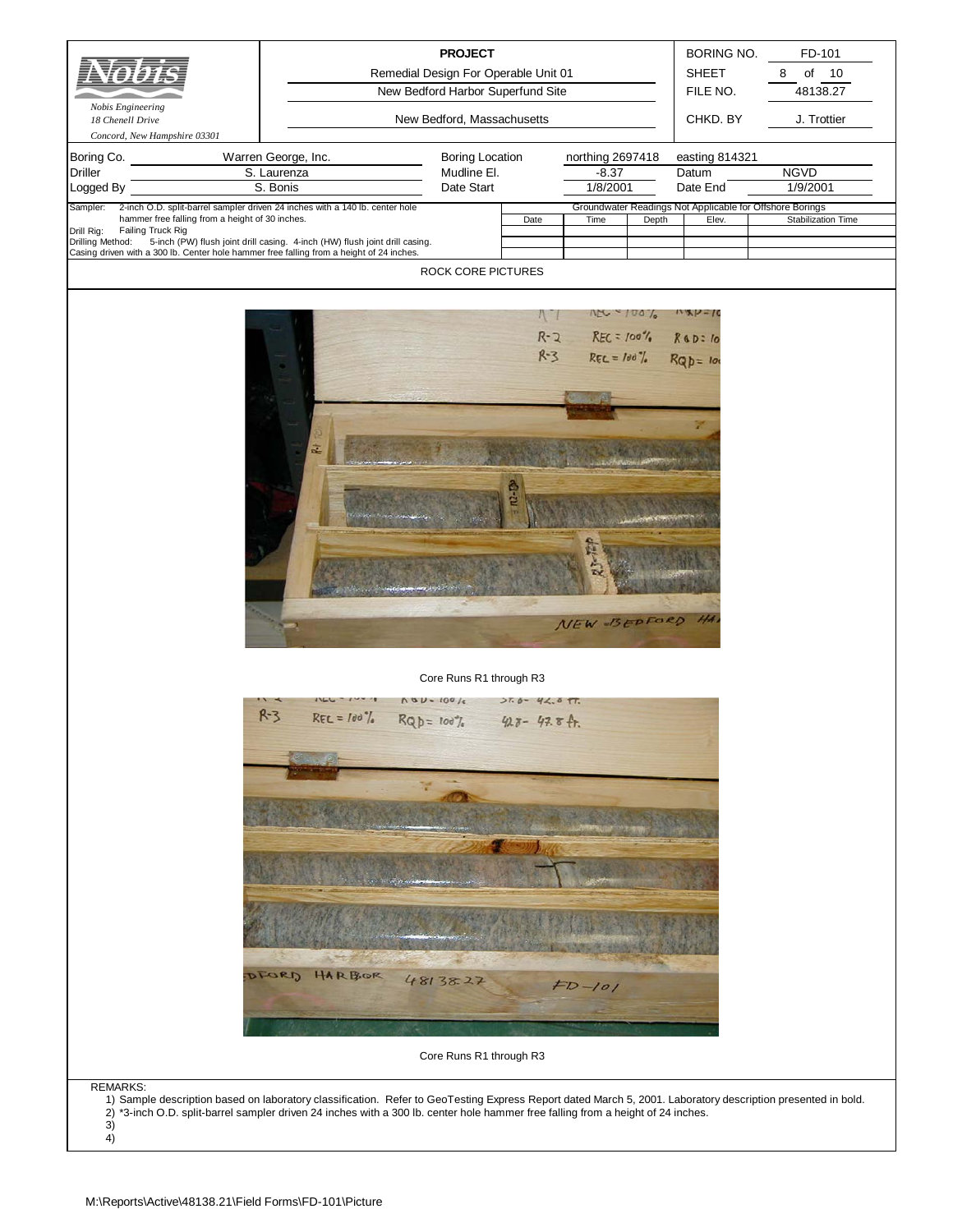| Nobis Engineering<br>18 Chenell Drive<br>Concord, New Hampshire 03301<br>Boring Co.<br><b>Driller</b><br>Logged By | Warren George, Inc.<br>S. Laurenza<br>S. Bonis                                                                                                                                                                                                                                                  | <b>PROJECT</b><br>Remedial Design For Operable Unit 01<br>New Bedford Harbor Superfund Site<br>New Bedford, Massachusetts<br><b>Boring Location</b><br>Mudline El.<br>Date Start |                   | northing 2697418<br>$-8.37$<br>1/8/2001                                                       |       | BORING NO.<br><b>SHEET</b><br>FILE NO.<br>CHKD. BY<br>easting 814321<br>Datum<br>Date End | FD-101<br>of<br>10<br>8<br>48138.27<br>J. Trottier<br><b>NGVD</b><br>1/9/2001 |
|--------------------------------------------------------------------------------------------------------------------|-------------------------------------------------------------------------------------------------------------------------------------------------------------------------------------------------------------------------------------------------------------------------------------------------|----------------------------------------------------------------------------------------------------------------------------------------------------------------------------------|-------------------|-----------------------------------------------------------------------------------------------|-------|-------------------------------------------------------------------------------------------|-------------------------------------------------------------------------------|
| Sampler:<br>hammer free falling from a height of 30 inches.                                                        | 2-inch O.D. split-barrel sampler driven 24 inches with a 140 lb. center hole                                                                                                                                                                                                                    |                                                                                                                                                                                  |                   |                                                                                               |       | Groundwater Readings Not Applicable for Offshore Borings                                  | <b>Stabilization Time</b>                                                     |
| Drill Rig:<br>Failing Truck Rig<br>Drilling Method:                                                                | 5-inch (PW) flush joint drill casing. 4-inch (HW) flush joint drill casing.                                                                                                                                                                                                                     |                                                                                                                                                                                  | Date              | Time                                                                                          | Depth | Elev.                                                                                     |                                                                               |
| Casing driven with a 300 lb. Center hole hammer free falling from a height of 24 inches.                           |                                                                                                                                                                                                                                                                                                 | ROCK CORE PICTURES                                                                                                                                                               |                   |                                                                                               |       |                                                                                           |                                                                               |
|                                                                                                                    |                                                                                                                                                                                                                                                                                                 |                                                                                                                                                                                  |                   |                                                                                               |       |                                                                                           |                                                                               |
|                                                                                                                    | 芝                                                                                                                                                                                                                                                                                               |                                                                                                                                                                                  |                   | $100 - 1001$<br>$R - 2$ REC = 100% R & D = 10<br>R-3 REC = 100% R Q D = 100<br>NEW BEDFORD HA |       |                                                                                           |                                                                               |
|                                                                                                                    |                                                                                                                                                                                                                                                                                                 | Core Runs R1 through R3                                                                                                                                                          |                   |                                                                                               |       |                                                                                           |                                                                               |
|                                                                                                                    | $R-3$<br>$REC = 100$ %                                                                                                                                                                                                                                                                          | $VgD - 10016$<br>$RQD = 100\%$ 423-47.8 ft.                                                                                                                                      | $27.6 - 42.6$ TT. |                                                                                               |       |                                                                                           |                                                                               |
|                                                                                                                    |                                                                                                                                                                                                                                                                                                 |                                                                                                                                                                                  |                   |                                                                                               |       |                                                                                           |                                                                               |
|                                                                                                                    |                                                                                                                                                                                                                                                                                                 |                                                                                                                                                                                  |                   |                                                                                               |       |                                                                                           |                                                                               |
|                                                                                                                    |                                                                                                                                                                                                                                                                                                 |                                                                                                                                                                                  |                   |                                                                                               |       |                                                                                           |                                                                               |
|                                                                                                                    | DFORD<br>HARBOR                                                                                                                                                                                                                                                                                 | 48138.27                                                                                                                                                                         |                   | $FD-101$                                                                                      |       |                                                                                           |                                                                               |
|                                                                                                                    |                                                                                                                                                                                                                                                                                                 | Core Runs R1 through R3                                                                                                                                                          |                   |                                                                                               |       |                                                                                           |                                                                               |
| <b>REMARKS:</b><br>3)<br>4)                                                                                        | 1) Sample description based on laboratory classification. Refer to GeoTesting Express Report dated March 5, 2001. Laboratory description presented in bold.<br>2) *3-inch O.D. split-barrel sampler driven 24 inches with a 300 lb. center hole hammer free falling from a height of 24 inches. |                                                                                                                                                                                  |                   |                                                                                               |       |                                                                                           |                                                                               |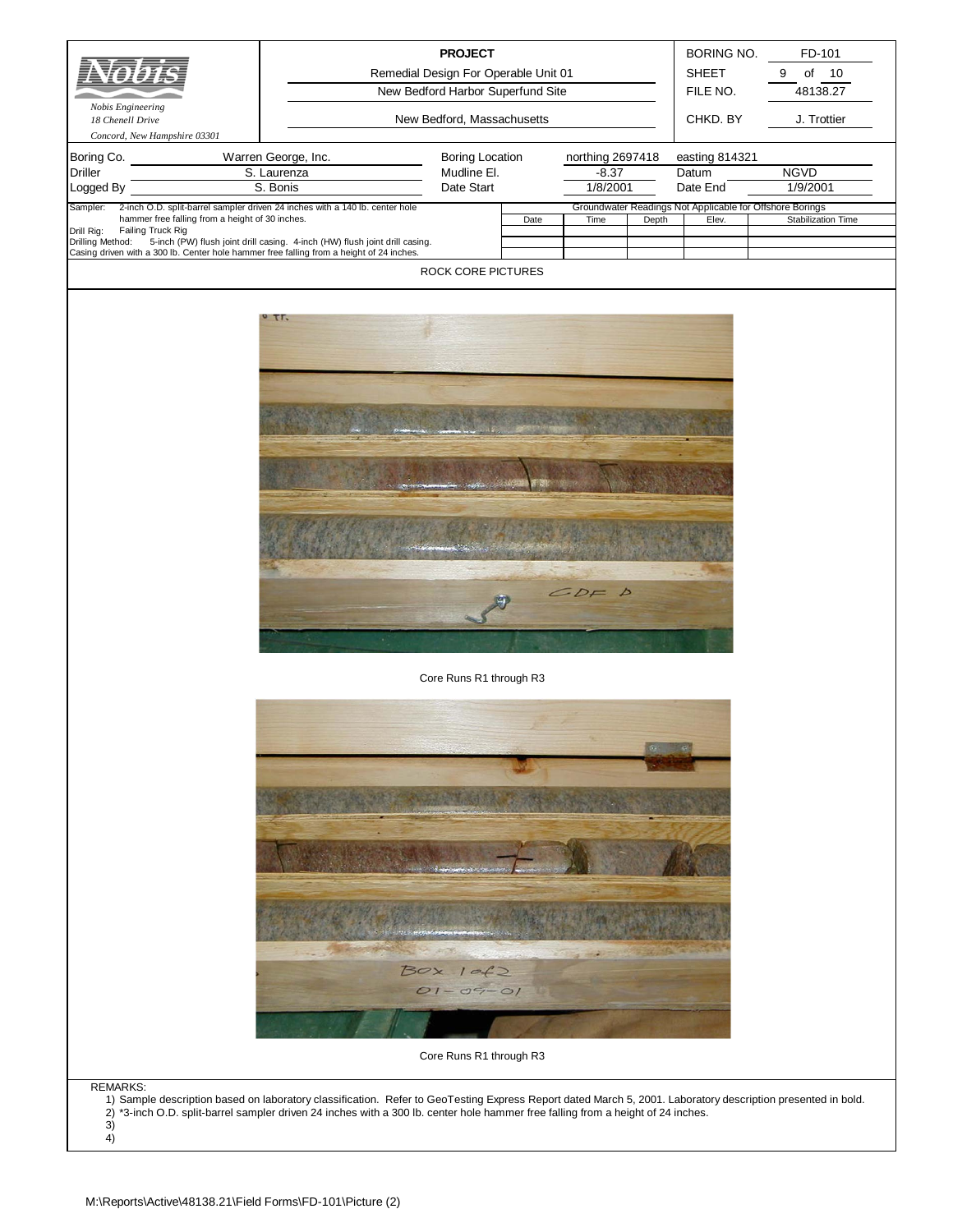| Nobis Engineering<br>18 Chenell Drive<br>Concord, New Hampshire 03301<br>Boring Co.      | Warren George, Inc.                                                                                                                                                                                                                                                                             | <b>PROJECT</b><br>Remedial Design For Operable Unit 01<br>New Bedford Harbor Superfund Site<br>New Bedford, Massachusetts<br><b>Boring Location</b> |      | northing 2697418 |       | BORING NO.<br><b>SHEET</b><br>FILE NO.<br>CHKD. BY<br>easting 814321 | FD-101<br>9<br>of<br>10<br>48138.27<br>J. Trottier |
|------------------------------------------------------------------------------------------|-------------------------------------------------------------------------------------------------------------------------------------------------------------------------------------------------------------------------------------------------------------------------------------------------|-----------------------------------------------------------------------------------------------------------------------------------------------------|------|------------------|-------|----------------------------------------------------------------------|----------------------------------------------------|
| <b>Driller</b>                                                                           | S. Laurenza                                                                                                                                                                                                                                                                                     | Mudline El.                                                                                                                                         |      | $-8.37$          |       | Datum                                                                | <b>NGVD</b>                                        |
| Logged By                                                                                | S. Bonis                                                                                                                                                                                                                                                                                        | Date Start                                                                                                                                          |      | 1/8/2001         |       | Date End                                                             | 1/9/2001                                           |
| Sampler:<br>hammer free falling from a height of 30 inches.                              | 2-inch O.D. split-barrel sampler driven 24 inches with a 140 lb. center hole                                                                                                                                                                                                                    |                                                                                                                                                     | Date | Time             | Depth | Groundwater Readings Not Applicable for Offshore Borings<br>Elev.    | <b>Stabilization Time</b>                          |
| Drill Rig:<br>Failing Truck Rig<br>Drilling Method:                                      | 5-inch (PW) flush joint drill casing. 4-inch (HW) flush joint drill casing.                                                                                                                                                                                                                     |                                                                                                                                                     |      |                  |       |                                                                      |                                                    |
| Casing driven with a 300 lb. Center hole hammer free falling from a height of 24 inches. |                                                                                                                                                                                                                                                                                                 | ROCK CORE PICTURES                                                                                                                                  |      |                  |       |                                                                      |                                                    |
|                                                                                          |                                                                                                                                                                                                                                                                                                 |                                                                                                                                                     |      | CDF D            |       |                                                                      |                                                    |
|                                                                                          |                                                                                                                                                                                                                                                                                                 | Core Runs R1 through R3                                                                                                                             |      |                  |       |                                                                      |                                                    |
|                                                                                          |                                                                                                                                                                                                                                                                                                 | $Box$ $102$<br>$O1 - O9 - O1$<br>Core Runs R1 through R3                                                                                            |      |                  |       |                                                                      |                                                    |
|                                                                                          |                                                                                                                                                                                                                                                                                                 |                                                                                                                                                     |      |                  |       |                                                                      |                                                    |
| <b>REMARKS:</b><br>3)<br>4)                                                              | 1) Sample description based on laboratory classification. Refer to GeoTesting Express Report dated March 5, 2001. Laboratory description presented in bold.<br>2) *3-inch O.D. split-barrel sampler driven 24 inches with a 300 lb. center hole hammer free falling from a height of 24 inches. |                                                                                                                                                     |      |                  |       |                                                                      |                                                    |